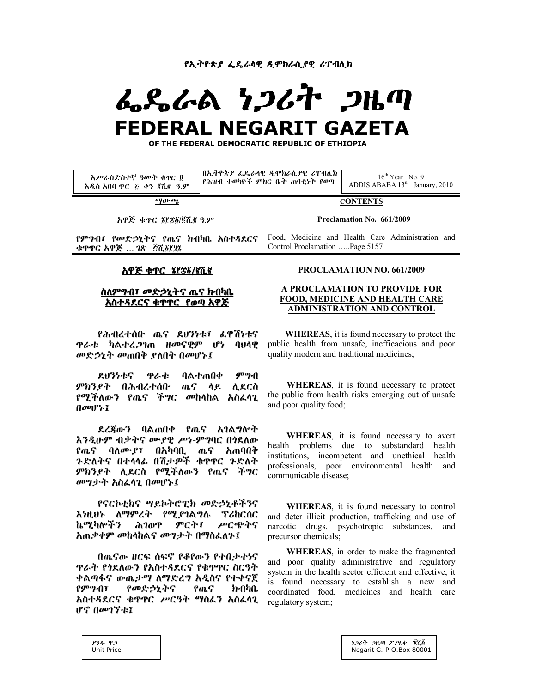**የኢትዮጵያ ፌዴራሳዊ ዲሞክራሲያዊ ሪፐብሊክ** 

# ፌዴራል *ነጋ*ሪት *ጋ*ዜጣ  **FEDERAL NEGARIT GAZETA**

 **OF THE FEDERAL DEMOCRATIC REPUBLIC OF ETHIOPIA**

| አሥራስድስተኛ ዓመት ቁተር ፱<br>አዲስ አበባ ዋር ፩ ቀን ጀሺ፪ ዓ.ም                                                                                                                               |  | በኢትዮጵያ ፌዴራሳዊ ዲሞክራሲያዊ ሪፐብሊክ<br>የሕዝብ ተወካዮች ምክር ቤት ጠባቂነት የወጣ                                                                                                                                                                                                                             | $16^{th}$ Year No. 9<br>ADDIS ABABA 13 <sup>th</sup> January, 2010 |
|-----------------------------------------------------------------------------------------------------------------------------------------------------------------------------|--|---------------------------------------------------------------------------------------------------------------------------------------------------------------------------------------------------------------------------------------------------------------------------------------|--------------------------------------------------------------------|
| ማውጫ                                                                                                                                                                         |  | <b>CONTENTS</b>                                                                                                                                                                                                                                                                       |                                                                    |
| አዋጅ ቁጥር ፯፻፷፩/፪ሺ፪ ዓ.ም                                                                                                                                                        |  | Proclamation No. 661/2009                                                                                                                                                                                                                                                             |                                                                    |
| የምግብ፣ የመድኃኒትና የጤና ክብካቤ አስተዳደርና<br>ቁዋዋር አዋጅ … ገጽ   ፭ሺ፩፻፶፯                                                                                                                    |  | Food, Medicine and Health Care Administration and<br>Control Proclamation Page 5157                                                                                                                                                                                                   |                                                                    |
| አዋጅ ቁጥር ፮፻፷፩/፪ሺ፪                                                                                                                                                            |  | PROCLAMATION NO. 661/2009                                                                                                                                                                                                                                                             |                                                                    |
| <u>አስተዳደርና ቁዋዋር  የወጣ አዋጅ</u>                                                                                                                                                |  | A PROCLAMATION TO PROVIDE FOR<br><b>FOOD, MEDICINE AND HEALTH CARE</b><br><b>ADMINISTRATION AND CONTROL</b>                                                                                                                                                                           |                                                                    |
| የሕብረተሰቡ ጤና ደሀንነቱ፣ ፌዋሽነቱና<br><i></i> ዋራቱ ካልተረ <i>ጋ</i> ገጠ ዘመናዊም ሆነ<br><b>QUAP</b><br>መድኃኒት መጠበቅ ያለበት በመሆኑ፤                                                                   |  | <b>WHEREAS</b> , it is found necessary to protect the<br>public health from unsafe, inefficacious and poor<br>quality modern and traditional medicines;                                                                                                                               |                                                                    |
| ምግብ<br>ደሀንነቱና ዋራቱ ባልተጠበቀ<br>ምክንያት በሕብረተሰቡ<br>ጨና ላይ<br>ሊደርስ<br><i>የሚችለውን የጤና ችግር መከላከ</i> ል <i>አስፌላጊ</i><br>በመሆኑ፤                                                            |  | WHEREAS, it is found necessary to protect<br>the public from health risks emerging out of unsafe<br>and poor quality food;                                                                                                                                                            |                                                                    |
| ደረጃውን ባልጠበቀ የጤና አገልግሎት<br>እንዲሁም ብቃትና ሙያዊ ሥነ-ምግባር በነደለው<br>የጤና ባለሙያ፣ በአካባቢ ጤና አጠባበቅ<br>ንድለትና በተላላፊ በሽታዎች ቁዋዋር ንድለት<br>ምክንያት ሲደርስ የሚችለውን የጤና ችግር<br>መግታት አስፌሳጊ በመሆኑ፤          |  | WHEREAS, it is found necessary to avert<br>health problems due to substandard health<br>institutions, incompetent and unethical health<br>professionals, poor environmental health<br>and<br>communicable disease;                                                                    |                                                                    |
| የናርኮቲክና ሣይኮትሮፒክ መድኃኒቶችንና<br>እነዚህኑ ለማምረት የሚያገልግሉ ፕሪከርሰር<br>ኬሚካሎችን<br>ምርት፣ ሥርጭትና<br>ሕገወዋ<br>አጠቃቀም መከላከልና መግታት በማስፌስጉ፤                                                         |  | WHEREAS, it is found necessary to control<br>and deter illicit production, trafficking and use of<br>drugs, psychotropic substances,<br>narcotic<br>and<br>precursor chemicals;                                                                                                       |                                                                    |
| በጤናው ዘርፍ ሰፍኖ የቆየውን የተበታተነና<br>ዋራት የጎደለውን የአስተዳደርና የቁዋዋር ስርዓት<br>ቀልጣፋና ውጤታማ ለማድረግ አዲስና የተቀናጀ<br>የምግብ፣<br>የመድኃኒትና<br>ክብካቤ<br>የጤና<br>አስተዳደርና ቁዋዋር ሥርዓት ማስፌን አስፌሳጊ<br>ሆኖ በመገኘቱ፤ |  | <b>WHEREAS</b> , in order to make the fragmented<br>and poor quality administrative and regulatory<br>system in the health sector efficient and effective, it<br>is found necessary to establish a new<br>and<br>coordinated food, medicines and health<br>care<br>regulatory system; |                                                                    |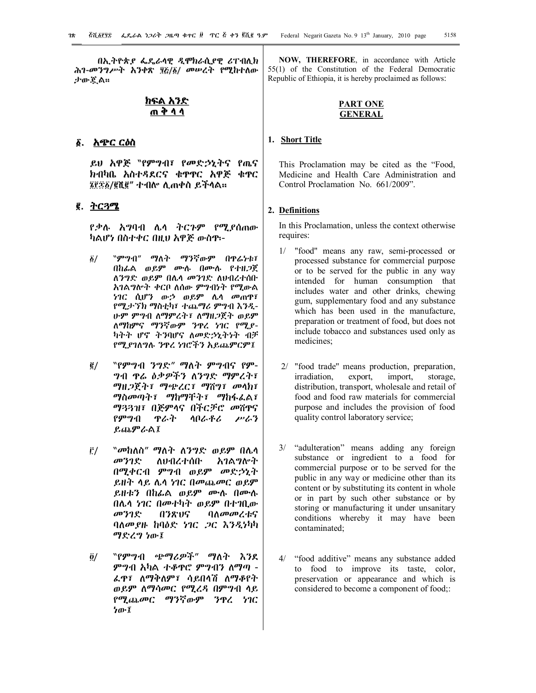በኢትዮጵያ ፌዴራላዊ ዲሞክራሲያዊ ሪፐብሊክ ሕገ-መንግሥት አንቀጽ ያ፩/፩/ መሠረት የሚከተለው ታውጇል፡፡

# **ክፍል አንድ ጠ ቅ ላ ላ**

# **1. አጭር ርዕስ**

ይህ አዋጅ "የምግብ፣ የመድኃኒትና የጤና ክብካቤ አስተዳደርና ቁጥጥር አዋጅ ቁጥር 6)%1/2ሺ2" ተብሎ ሊጠቀስ ይችላል፡፡

# **2. ትርጓሜ**

የቃሉ አግባብ ሌላ ትርጉም የሚያሰጠው ካልሆነ በስተቀር በዚህ አዋጅ ውስጥ፡-

- 1/ "ምግብ" ማለት ማንኛውም በጥሬነቱ፣ በከፊል ወይም ሙሉ በሙሉ የተዘጋጀ ለንግድ ወይም በሌላ መንገድ ለህብረተሰቡ አገልግሎት ቀርቦ ለሰው ምግብነት የሚውል ነገር ሲሆን ውኃ ወይም ሌላ መጠጥ፣ የሚታኘክ ማስቲካ፣ ተጨማሪ ምግብ እንዲ-ሁም ምግብ ለማምረት፣ ለማዘጋጀት ወይም ለማከምና ማንኛውም ንጥረ ነገር የሚያ-ካትት ሆኖ ትንባሆና ለመድኃኒትነት ብቻ የሚያገለግሉ ንጥረ ነገሮችን አይጨምርም፤
- 2/ "የምግብ ንግድ" ማለት ምግብና የም-ግብ ጥሬ ዕቃዎችን ለንግድ ማምረት፣ ማዘጋጀት፣ ማጭረር፣ ማሸግ፣ መላክ፣ ማስመጣት፣ ማከማቸት፣ ማከፋፈል፣ ማጓጓዝ፣ በጅምላና በችርቻሮ መሸጥና የምግብ ጥራት ላቦራቶሪ ሥራን ይጨምራል፤
- 3/ "መከለስ" ማለት ለንግድ ወይም በሌላ መንገድ ለህብረተሰቡ አገልግሎት በሚቀርብ ምግብ ወይም መድኃኒት ይዘት ላይ ሌላ ነገር በመጨመር ወይም ይዘቱን በከፊል ወይም ሙሉ በሙሉ በሌላ ነገር በመተካት ወይም በተገቢው መንገድ በንጽህና ባለመመረቱና ባለመያዙ ከባዕድ ነገር ጋር እንዲነካካ ማድረግ ነው፤
- 4/ "የምግብ ጭማሪዎች" ማለት እንደ ምግብ አካል ተቆጥሮ ምግብን ለማጣ - ፈጥ፣ ለማቅለም፣ ሳይበላሽ ለማቆየት ወይም ለማሳመር የሚረዳ በምግብ ላይ የሚጨመር ማንኛውም ንጥረ ነገር ነው፤

**NOW, THEREFORE**, in accordance with Article 55(1) of the Constitution of the Federal Democratic Republic of Ethiopia, it is hereby proclaimed as follows:

## **PART ONE GENERAL**

# **1. Short Title**

This Proclamation may be cited as the "Food, Medicine and Health Care Administration and Control Proclamation No. 661/2009".

## **2. Definitions**

In this Proclamation, unless the context otherwise requires:

- 1/ "food'' means any raw, semi-processed or processed substance for commercial purpose or to be served for the public in any way intended for human consumption that includes water and other drinks, chewing gum, supplementary food and any substance which has been used in the manufacture, preparation or treatment of food, but does not include tobacco and substances used only as medicines;
- 2/ "food trade'' means production, preparation, irradiation, export, import, storage, distribution, transport, wholesale and retail of food and food raw materials for commercial purpose and includes the provision of food quality control laboratory service;
- 3/ "adulteration" means adding any foreign substance or ingredient to a food for commercial purpose or to be served for the public in any way or medicine other than its content or by substituting its content in whole or in part by such other substance or by storing or manufacturing it under unsanitary conditions whereby it may have been contaminated;
- 4/ "food additive" means any substance added to food to improve its taste, color, preservation or appearance and which is considered to become a component of food;: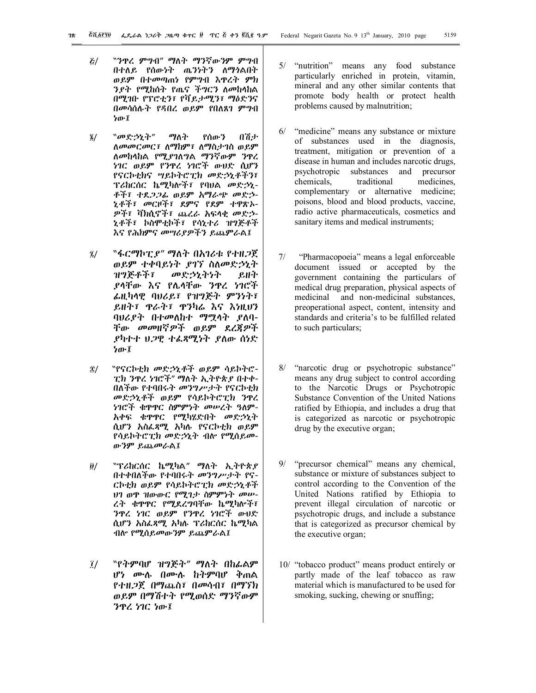- 5/ "ንጥረ ምግብ" ማለት ማንኛውንም ምግብ በተለይ የሰውነት ጤንነትን ለማጎልበት ወይም በተመጣጠነ የምግብ እጥረት ምክ ንያት የሚከሰት የጤና ችግርን ለመከላከል በሚገቡ የፕሮቲን፣ የቫይታሚን፣ ማዕድንና በመሳሰሉት የዳበረ ወይም የበለጸገ ምግብ ነው፤
- 6/ "መድኃኒት" ማለት የሰውን በሽታ ለመመርመር፣ ለማከም፣ ለማስታገስ ወይም ለመከላከል የሚያገለግል ማንኛውም ንጥረ ነገር ወይም የንጥረ ነገሮች ውህድ ሲሆን የናርኮቲክና ሣይኮትሮፒክ መድኃኒቶችን፣ ፕሪከርሰር ኬሚካሎች፣ የባህል መድኃኒ-ቶች፣ ተደጋጋፊ ወይም አማራጭ መድኃ-ኒቶች፣ መርዞች፣ ደምና የደም ተዋጽኦ-ዎች፣ ቫክሲኖች፣ ጨረራ አፍላቂ መድኃ-ኒቶች፣ ኮስሞቲኮች፣ የሳኒተሪ ዝግጅቶች እና የሕክምና መሣሪያዎችን ይጨምራል፤
- $\tilde{a}$ /  $\tilde{a}$  "ፋርማኮፒ $\ell$ " ማለት በአገሪቱ የተዘጋጀ ወይም ተቀባይነት ያገኘ ስለመድኃኒት ዝግጅቶች፣ መድኃኒትነት ይዘት ያላቸው እና የሌላቸው ንጥረ ነገሮች ፊዚካላዊ ባህሪይ፣ የዝግጅት ምንነት፣ ይዘት፣ ጥራት፣ ጥንካሬ እና እነዚህን ባህሪያት በተመለከተ ማሟላት ያለባ-ቸው መመዘኛዎች ወይም ደረጃዎች ያካተተ ህጋዊ ተፈጻሚነት ያለው ሰነድ ነው፤
- 8/ "የናርኮቲክ መድኃኒቶች ወይም ሳይኮትሮ-ፒክ ንጥረ ነገሮች" ማለት ኢትዮጵያ በተቀ-በለችው የተባበሩት መንግሥታት የናርኮቲክ መድኃኒቶች ወይም የሳይኮትሮፒክ ንጥረ ነገሮች ቁጥጥር ስምምነት መሠረት ዓለም-አቀፍ ቁጥጥር የሚካሄድበት መድኃኒት ሲሆን አስፈጻሚ አካሉ የናርኮቲክ ወይም የሳይኮትሮፒክ መድኃኒት ብሎ የሚሰይመ-ውንም ይጨመራል፤
- 9/ "ፕሪከርሰር ኬሚካል" ማለት ኢትዮጵያ በተቀበለችው የተባበሩት መንግሥታት የና-ርኮቲክ ወይም የሳይኮትሮፒክ መድኃኒቶች ህገ ወጥ ዝውውር የሚገታ ስምምነት መሠ-ረት ቁጥጥር የሚደረግባቸው ኬሚካሎች፣ ንጥረ ነገር ወይም የንጥረ ነገሮች ውህድ ሲሆን አስፈጻሚ አካሉ ፕሪከርሰር ኬሚካል ብሎ የሚሰይመውንም ይጨምራል፤
- 0/ "የትምባሆ ዝግጅት" ማለት በከፊልም ሆነ ሙሉ በሙሉ ከትምባሆ ቅጠል የተዘጋጀ በማጨስ፣ በመሳብ፣ በማኘክ ወይም በማሽተት የሚወሰድ ማንኛውም ንጥረ ነገር ነው፤
- 5/ "nutrition" means any food substance particularly enriched in protein, vitamin, mineral and any other similar contents that promote body health or protect health problems caused by malnutrition;
- 6/ "medicine" means any substance or mixture of substances used in the diagnosis, treatment, mitigation or prevention of a disease in human and includes narcotic drugs, psychotropic substances and precursor chemicals, traditional medicines, complementary or alternative medicine; poisons, blood and blood products, vaccine, radio active pharmaceuticals, cosmetics and sanitary items and medical instruments;
- 7/ "Pharmacopoeia" means a legal enforceable document issued or accepted by the government containing the particulars of medical drug preparation, physical aspects of medicinal and non-medicinal substances, preoperational aspect, content, intensity and standards and criteria's to be fulfilled related to such particulars;
- 8/ "narcotic drug or psychotropic substance" means any drug subject to control according to the Narcotic Drugs or Psychotropic Substance Convention of the United Nations ratified by Ethiopia, and includes a drug that is categorized as narcotic or psychotropic drug by the executive organ;
- 9/ "precursor chemical" means any chemical, substance or mixture of substances subject to control according to the Convention of the United Nations ratified by Ethiopia to prevent illegal circulation of narcotic or psychotropic drugs, and include a substance that is categorized as precursor chemical by the executive organ;
- 10/ "tobacco product" means product entirely or partly made of the leaf tobacco as raw material which is manufactured to be used for smoking, sucking, chewing or snuffing;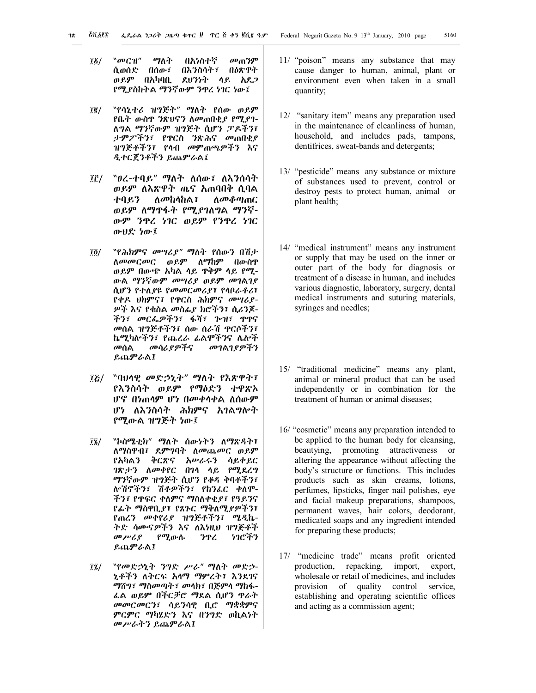- 01/ "መርዝ" ማለት በአነስተኛ መጠንም ሲወሰድ በሰው፣ በእንስሳት፣ በዕጽዋት ወይም በአካባቢ ደህንነት ላይ አደጋ የሚያስከትል ማንኛውም ንጥረ ነገር ነው፤
- 02/ "የሳኒተሪ ዝግጅት" ማለት የሰው ወይም የቤት ውስጥ ንጽህናን ለመጠበቂያ የሚያገ-ለግል ማንኛውም ዝግጅት ሲሆን ፓዶችን፣ ታምፖችን፣ የጥርስ ንጽሕና መጠበቂያ ዝግጅቶችን፣ የላብ መምጠጫዎችን እና ዲተርጀንቶችን ይጨምራል፤
- ፲፫/ 〝ፀረ-ተባይ" ማለት ለሰው፣ ለእንሰሳት ወይም ለእጽዋት ጤና አጠባበቅ ሲባል ተባይን ለመከላከል፣ ለመቆጣጠር ወይም ለማጥፋት የሚያገለግል ማንኛ-ውም ንጥረ ነገር ወይም የንጥረ ነገር ውህድ ነው፤
- 04/ "የሕክምና መሣሪያ" ማለት የሰውን በሽታ ለመመርመር ወይም ለማከም በውስጥ ወይም በውጭ አካል ላይ ጥቅም ላይ የሚ-ውል ማንኛውም መሣሪያ ወይም መገልገያ ሲሆን የተለያዩ የመመርመሪያ፣ የላቦራቶሪ፣ የቀዶ ህክምና፣ የጥርስ ሕክምና መሣሪያ-ዎች እና የቁስል መስፊያ ክሮችን፣ ሲሪንጆ-ችን፣ መርፌዎችን፣ ፋሻ፣ ጐዝ፣ ጥጥና መሰል ዝግጅቶችን፣ ሰው ሰራሽ ጥርሶችን፣ ኬሚካሎችን፣ የጨረራ ፊልሞችንና ሌሎች<br>*መ*ሰል - መሳሪ*ያዎችና - መገ*ልገያ*ዎችን* መሰል መሳሪያዎችና መገልገያዎችን ይጨምራል፤
- 05/ "ባህላዊ መድኃኒት" ማለት የእጽዋት፣ የእንስሳት ወይም የማዕድን ተዋጽኦ ሆኖ በነጠላም ሆነ በመቀላቀል ለሰውም ሆነ ለእንስሳት ሕክምና አገልግሎት የሚውል ዝግጅት ነው፤
- 06/ "ኮስሜቲክ" ማለት ሰውነትን ለማጽዳት፣ ለማስዋብ፣ ደምግባት ለመጨመር ወይም የአካልን ቅርጽና አሠራሩን ሳይቀይር ገጽታን ለመቀየር በገላ ላይ የሚደረግ ማንኛውም ዝግጅት ሲሆን የቆዳ ቅባቶችን፣ ሎሽኖችን፣ ሽቶዎችን፣ የከንፈር ቀለሞ-ችን፣ የጥፍር ቀለምና ማስለቀቂያ፣ የዓይንና የፊት ማስዋቢያ፣ የጸጉር ማቅለሚያዎችን፣ የጠረን መቀየሪያ ዝግጅቶችን፣ ሜዲኬ-ትድ ሳሙናዎችን እና ለእነዚህ ዝግጅቶች<br>*መሥሪያ የሚ*ውሉ *ን*ዋረ *ነገ*ሮችን የሚውሉ ንዋረ ይጨምራል፤
- 07/ "የመድኃኒት ንግድ ሥራ" ማለት መድኃ-ኒቶችን ለትርፍ አላማ ማምረት፣ እንደገና ማሸግ፣ ማስመጣት፣ መላክ፣ በጅምላ ማከፋ-ፈል ወይም በችርቻሮ ማደል ሲሆን ጥራት መመርመርን፣ ሳይንሳዊ ቢሮ ማቋቋምና ምርምር ማካሄድን እና በንግድ ወኪልነት መሥራትን ይጨምራል፤
- 11/ "poison" means any substance that may cause danger to human, animal, plant or environment even when taken in a small quantity;
- 12/ "sanitary item" means any preparation used in the maintenance of cleanliness of human, household, and includes pads, tampons, dentifrices, sweat-bands and detergents;
- 13/ "pesticide" means any substance or mixture of substances used to prevent, control or destroy pests to protect human, animal or plant health;
- 14/ "medical instrument" means any instrument or supply that may be used on the inner or outer part of the body for diagnosis or treatment of a disease in human, and includes various diagnostic, laboratory, surgery, dental medical instruments and suturing materials, syringes and needles;
- 15/ "traditional medicine" means any plant, animal or mineral product that can be used independently or in combination for the treatment of human or animal diseases;
- 16/ "cosmetic" means any preparation intended to be applied to the human body for cleansing, beautying, promoting attractiveness or altering the appearance without affecting the body's structure or functions. This includes products such as skin creams, lotions, perfumes, lipsticks, finger nail polishes, eye and facial makeup preparations, shampoos, permanent waves, hair colors, deodorant, medicated soaps and any ingredient intended for preparing these products;
- 17/ "medicine trade" means profit oriented production, repacking, import, export, wholesale or retail of medicines, and includes provision of quality control service, establishing and operating scientific offices and acting as a commission agent;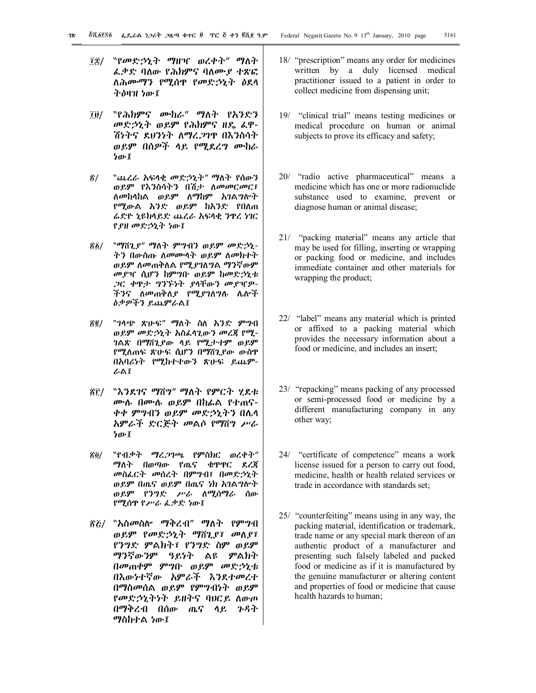- ፲፰/ 〝የመድኃኒት ማዘዣ ወረቀት" ማለት ፈቃድ ባለው የሕክምና ባለሙያ ተጽፎ ለሕሙማን የሚሰጥ የመድኃኒት ዕደላ ትዕዛዝ ነው፤
- ፲፱/ 〝የሕክምና ሙከራ" ማለት የአንድን መድኃኒት ወይም የሕክምና ዘዴ ፈዋ-ሽነትና ደህንነት ለማረጋገጥ በእንስሳት ወይም በሰዎች ላይ የሚደረግ ሙከራ ነው፤
- !/ "ጨረራ አፍላቂ መድኃኒት" ማለት የሰውን ወይም የእንስሳትን በሽታ ለመመርመር፣ ለመከላከል ወይም ለማከም አገልግሎት የሚውል አንድ ወይም ከአንድ የበለጠ ሬድዮ ኒዩክላይድ ጨረራ አፍላቂ ንጥረ ነገር የያዘ መድኃኒት ነው፤
- !1/ "ማሸጊያ" ማለት ምግብን ወይም መድኃኒ-ትን በውስጡ ለመሙላት ወይም ለመክተት ወይም ለመጠቅለል የሚያገለግል ማንኛውም መያዣ ሲሆን ከምግቡ ወይም ከመድኃኒቱ ጋር ቀጥታ ግንኙነት ያላቸውን መያዣዎ-ችንና ለመጠቅለያ የሚያገለግሉ ሌሎች ዕቃዎችን ይጨምራል፤
- !2/ "ገላጭ ጽሁፍ" ማለት ስለ አንድ ምግብ ወይም መድኃኒት አስፈላጊውን መረጃ የሚ-ገልጽ በማሸጊያው ላይ የሚታተም ወይም የሚለጠፍ ጽሁፍ ሲሆን በማሸጊያው ውስጥ በአባሪነት የሚከተተውን ጽሁፍ ይጨም-ራል፤
- !3/ "እንደገና ማሸግ" ማለት የምርት ሂደቱ ሙሉ በሙሉ ወይም በከፊል የተጠና-ቀቀ ምግብን ወይም መድኃኒትን በሌላ አምራች ድርጅት መልሶ የማሸግ ሥራ ነው፤
- !4/ "የብቃት ማረጋገጫ የምስክር ወረቀት" ማለት በወጣው የጤና ቁጥጥር ደረጃ መስፈርት መሰረት በምግብ፣ በመድኃኒት ወይም በጤና ወይም በጤና ነክ አገልግሎት ወይም የንግድ ሥራ ለሚሰማራ ሰው የሚሰጥ የሥራ ፈቃድ ነው፤
- !5/ "አስመስሎ ማቅረብ" ማለት የምግብ ወይም የመድኃኒት ማሸጊያ፣ መለያ፣ የንግድ ምልክት፣ የንግድ ስም ወይም ማንኛውንም ዓይነት ልዩ ምልክት በመጠቀም ምግቡ ወይም መድኃኒቱ በእውነተኛው አምራች እንደተመረተ በማስመሰል ወይም የምግብነት ወይም የመድኃኒትነት ይዘትና ባህርይ ለውጦ በማቅረብ በሰው ጤና ላይ ጉዳት ማስከተል ነው፤
- 18/ "prescription" means any order for medicines written by a duly licensed medical practitioner issued to a patient in order to collect medicine from dispensing unit;
- 19/ "clinical trial" means testing medicines or medical procedure on human or animal subjects to prove its efficacy and safety;
- 20/ "radio active pharmaceutical" means a medicine which has one or more radionuclide substance used to examine, prevent or diagnose human or animal disease;
- 21/ "packing material" means any article that may be used for filling, inserting or wrapping or packing food or medicine, and includes immediate container and other materials for wrapping the product;
- 22/ "label" means any material which is printed or affixed to a packing material which provides the necessary information about a food or medicine, and includes an insert;
- 23/ "repacking" means packing of any processed or semi-processed food or medicine by a different manufacturing company in any other way;
- 24/ "certificate of competence" means a work license issued for a person to carry out food, medicine, health or health related services or trade in accordance with standards set;
- 25/ "counterfeiting" means using in any way, the packing material, identification or trademark, trade name or any special mark thereon of an authentic product of a manufacturer and presenting such falsely labeled and packed food or medicine as if it is manufactured by the genuine manufacturer or altering content and properties of food or medicine that cause health hazards to human;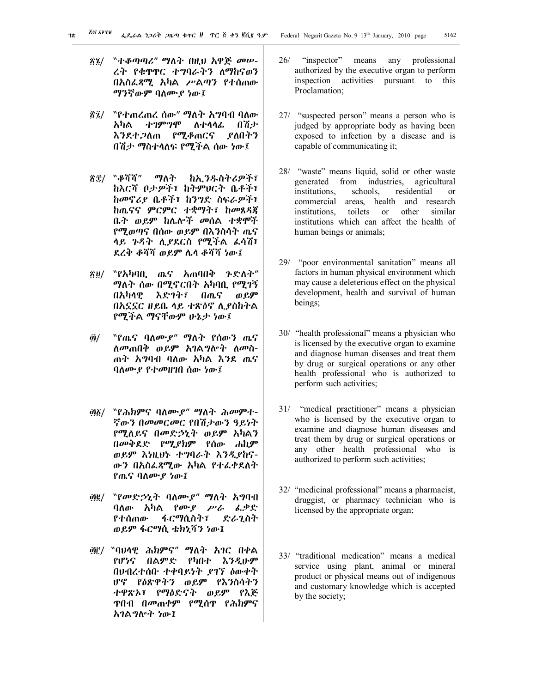- !6/ "ተቆጣጣሪ" ማለት በዚህ አዋጅ መሠ-ረት የቁጥጥር ተግባራትን ለማከናወን በአስፈጻሚ አካል ሥልጣን የተሰጠው ማንኛውም ባለሙያ ነው፤
- <u>፳፯/ "የተጠረጠረ ሰው" ማለት አ</u>ግባብ ባለው አካል ተገምግሞ ለተላላፊ በሽታ እንደተጋለጠ የሚቆጠርና ያለበትን በሽታ ማስተላለፍ የሚችል ሰው ነው፤
- !8/ "ቆሻሻ" ማለት ከኢንዱስትሪዎች፣ ከእርሻ ቦታዎች፣ ከትምህርት ቤቶች፣ ከመኖሪያ ቤቶች፣ ከንግድ ስፍራዎች፣ ከጤናና ምርምር ተቋማት፣ ከመጸዳጃ ቤት ወይም ከሌሎች መሰል ተቋሞች የሚወጣና በሰው ወይም በእንስሳት ጤና ላይ ጉዳት ሊያደርስ የሚችል ፈሳሽ፣ ደረቅ ቆሻሻ ወይም ሌላ ቆሻሻ ነው፤
- !9/ "የአካባቢ ጤና አጠባበቅ ጉድለት" ማለት ሰው በሚኖርበት አካባቢ የሚገኝ በአካላዊ እድገት፣ በጤና ወይም በአኗኗር ዘይቤ ላይ ተጽዕኖ ሊያስከትል የሚችል ማናቸውም ሁኔታ ነው፤
- "/ "የጤና ባለሙያ" ማለት የሰውን ጤና ለመጠበቅ ወይም አገልግሎት ለመስ-ጠት አግባብ ባለው አካል እንደ ጤና ባለሙያ የተመዘገበ ሰው ነው፤
- "1/ "የሕክምና ባለሙያ" ማለት ሕመምተ-ኛውን በመመርመር የበሽታውን ዓይነት የሚለይና በመድኃኒት ወይም አካልን በመቅደድ የሚያክም የሰው ሐኪም ወይም እነዚህኑ ተግባራት እንዲያከና-ውን በአስፈጻሚው አካል የተፈቀደለት የጤና ባለሙያ ነው፤
- "2/ "የመድኃኒት ባለሙያ" ማለት አግባብ ባለው አካል የሙያ ሥራ ፈቃድ የተሰጠው ፋርማሲስት፣ ድራጊስት ወይም ፋርማሲ ቴክኒሻን ነው፤
- "3// "ባህላዊ ሕክምና" ማለት አገር በቀል የሆነና በልምድ የካበተ እንዲሁም በህብረተሰቡ ተቀባይነት ያገኘ ዕውቀት ሆኖ የዕጽዋትን ወይም የእንስሳትን ተዋጽኦ፣ የማዕድናት ወይም የእጅ ጥበብ በመጠቀም የሚሰጥ የሕክምና አገልግሎት ነው፤
- 26/ "inspector" means any professional authorized by the executive organ to perform inspection activities pursuant to this Proclamation;
- 27/ "suspected person" means a person who is judged by appropriate body as having been exposed to infection by a disease and is capable of communicating it;
- 28/ "waste" means liquid, solid or other waste generated from industries, agricultural institutions, schools, residential or commercial areas, health and research institutions, toilets or other similar institutions which can affect the health of human beings or animals;
- 29/ "poor environmental sanitation" means all factors in human physical environment which may cause a deleterious effect on the physical development, health and survival of human beings;
- 30/ "health professional" means a physician who is licensed by the executive organ to examine and diagnose human diseases and treat them by drug or surgical operations or any other health professional who is authorized to perform such activities;
- 31/ "medical practitioner" means a physician who is licensed by the executive organ to examine and diagnose human diseases and treat them by drug or surgical operations or any other health professional who is authorized to perform such activities;
- 32/ "medicinal professional" means a pharmacist, druggist, or pharmacy technician who is licensed by the appropriate organ;
- 33/ "traditional medication" means a medical service using plant, animal or mineral product or physical means out of indigenous and customary knowledge which is accepted by the society;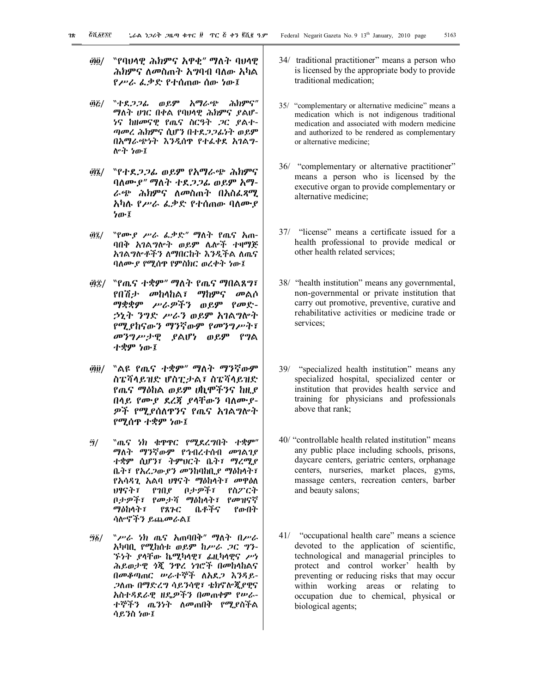- ፴፬/ "የባህላዊ ሕክምና አዋቂ" ማለት ባህላዊ ሕክምና ለመስጠት አግባብ ባለው አካል የሥራ ፈቃድ የተሰጠው ሰው ነው፤
- "5/ "ተደጋጋፊ ወይም አማራጭ ሕክምና" ማለት ሀገር በቀል የባህላዊ ሕክምና ያልሆ-ነና ከዘመናዊ የጤና ስርዓት ጋር ያልተ-ጣመረ ሕክምና ሲሆን በተደጋጋፊነት ወይም በአማራጭነት እንዲሰጥ የተፈቀደ አገልግ-ሎት ነው፤
- "6/ "የተደጋጋፊ ወይም የአማራጭ ሕክምና ባለሙያ" ማለት ተደጋጋፊ ወይም አማ-ራጭ ሕክምና ለመስጠት በአስፈጻሚ አካሉ የሥራ ፈቃድ የተሰጠው ባለሙያ ነው፤
- "7/ "የሙያ ሥራ ፈቃድ" ማለት የጤና አጠ-ባበቅ አገልግሎት ወይም ሌሎች ተዛማጅ አገልግሎቶችን ለማበርከት እንዲችል ለጤና ባለሙያ የሚሰጥ የምስክር ወረቀት ነው፤
- "8/ "የጤና ተቋም" ማለት የጤና ማበልጸግ፣ የበሽታ መከላከል፣ ማከምና መልሶ ማቋቋም ሥራዎችን ወይም የመድ-ኃኒት ንግድ ሥራን ወይም አገልግሎት የሚያከናውን ማንኛውም የመንግሥት፣ መንግሥታዊ ያልሆነ ወይም የግል ተቋም ነው፤
- "9/ "ልዩ የጤና ተቋም" ማለት ማንኛውም ስፔሻላይዝድ ሆስፒታል፣ ስፔሻላይዝድ የጤና ማዕከል ወይም ሀኪሞችንና ከዚያ በላይ የሙያ ደረጃ ያላቸውን ባለሙያ-ዎች የሚያሰለጥንና የጤና አገልግሎት የሚሰጥ ተቋም ነው፤
- #/ "ጤና ነክ ቁጥጥር የሚደረግበት ተቋም" ማለት ማንኛውም የኅብረተሰብ መገልገያ ተቋም ሲሆን፣ ትምህርት ቤት፣ ማረሚያ ቤት፣ የአረጋውያን መንከባከቢያ ማዕከላት፣ የአሳዳጊ አልባ ህፃናት ማዕከላት፣ መዋዕለ ህፃናት፣ የገበያ ቦታዎች፣ የስፖርት ቦታዎች፣ የመታሻ ማዕከላት፣ የመዝናኛ<br>ማዕከላት፣ የጸጉር ቤቶችና የውበት ማዕከላት ፣ ሳሎኖችን ይጨመራል፤
- #1/ "ሥራ ነክ ጤና አጠባበቅ" ማለት በሥራ አካባቢ የሚከሰቱ ወይም ከሥራ ጋር ግን-ኙነት ያላቸው ኬሚካላዊ፣ ፊዚካላዊና ሥነ ሕይወታዊ ጎጂ ንጥረ ነገሮች በመከላከልና በመቆጣጠር ሠራተኞች ለአደጋ እንዳይ-ጋለጡ በማድረግ ሳይንሳዊ፣ ቴክኖሎጂያዊና አስተዳደራዊ ዘዴዎችን በመጠቀም የሠራ-ተኞችን ጤንነት ለመጠበቅ የሚያስችል ሳይንስ ነው፤
- 34/ traditional practitioner" means a person who is licensed by the appropriate body to provide traditional medication;
- 35/ "complementary or alternative medicine" means a medication which is not indigenous traditional medication and associated with modern medicine and authorized to be rendered as complementary or alternative medicine;
- 36/ "complementary or alternative practitioner" means a person who is licensed by the executive organ to provide complementary or alternative medicine;
- 37/ "license" means a certificate issued for a health professional to provide medical or other health related services;
- 38/ "health institution" means any governmental, non-governmental or private institution that carry out promotive, preventive, curative and rehabilitative activities or medicine trade or services;
- 39/ "specialized health institution" means any specialized hospital, specialized center or institution that provides health service and training for physicians and professionals above that rank;
- 40/ "controllable health related institution" means any public place including schools, prisons, daycare centers, geriatric centers, orphanage centers, nurseries, market places, gyms, massage centers, recreation centers, barber and beauty salons;
- 41/ "occupational health care" means a science devoted to the application of scientific, technological and managerial principles to protect and control worker' health by preventing or reducing risks that may occur within working areas or relating to occupation due to chemical, physical or biological agents;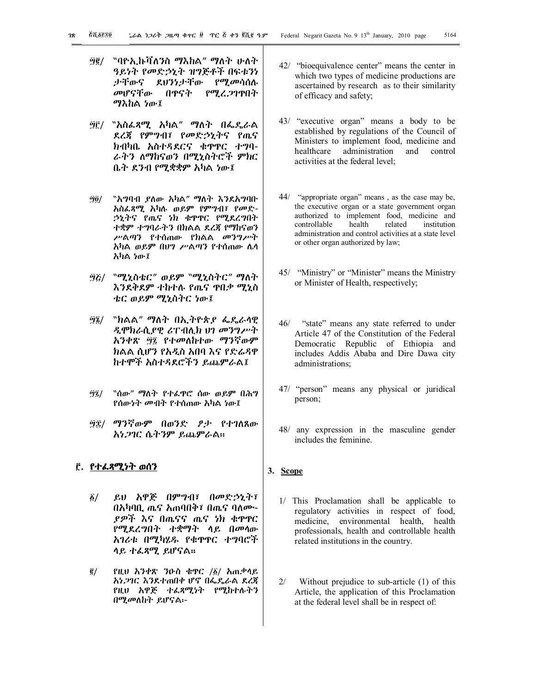- #2/ "ባዮኢኩቫለንስ ማእከል" ማለት ሁለት ዓይነት የመድኃኒት ዝግጅቶች በፍቱንነ ታቸውና ደህንነታቸው የሚመሳሰሉ መሆናቸው በጥናት የሚረጋገጥበት ማእከል ነው፤
- #3/ "አስፈጻሚ አካል" ማለት በፌዴራል ደረጃ የምግብ፣ የመድኃኒትና የጤና ክብካቤ አስተዳደርና ቁጥጥር ተግባ-ራትን ለማከናወን በሚኒስትሮች ምክር ቤት ደንብ የሚቋቋም አካል ነው፤
- #4/ "አግባብ ያለው አካል" ማለት እንደአግባቡ አስፈጻሚ አካሉ ወይም የምግብ፣ የመድ-ኃኒትና የጤና ነክ ቁጥጥር የሚደረግበት ተቋም ተግባራትን በክልል ደረጃ የማከናወን ሥልጣን የተሰጠው የክልል መንግሥት አካል ወይም በህግ ሥልጣን የተሰጠው ሌላ አካል ነው፤
- #5/ "ሚኒስቴር" ወይም "ሚኒስትር" ማለት እንደቅደም ተከተሉ የጤና ጥበቃ ሚኒስ ቴር ወይም ሚኒስትር ነው፤
- #6/ "ክልል" ማለት በኢትዮጵያ ፌዴራላዊ ዲሞክራሲያዊ ሪፐብሊክ ህገ መንግሥት አንቀጽ #7 የተመለከተው ማንኛውም ክልል ሲሆን የአዲስ አበባ እና የድሬዳዋ ከተሞች አስተዳደሮችን ይጨምራል፤
- #7/ "ሰው" ማለት የተፈጥሮ ሰው ወይም በሕግ የሰውነት መብት የተሰጠው አካል ነው፤
- #8/ ማንኛውም በወንድ ፆታ የተገለጸው አነጋገር ሴትንም ይጨምራል፡፡

# **3. የተፈጻሚነት ወሰን**

- 1/ ይህ አዋጅ በምግብ፣ በመድኃኒት፣ በአካባቢ ጤና አጠባበቅ፣ በጤና ባለሙ-ያዎች እና በጤናና ጤና ነክ ቁጥጥር የሚደረግበት ተቋማት ላይ በመላው አገሪቱ በሚካሄዱ የቁጥጥር ተግባሮች ላይ ተፈጻሚ ይሆናል፡፡
- 2/ የዚህ አንቀጽ ንዑስ ቁጥር /1/ አጠቃላይ አነጋገር እንደተጠበቀ ሆኖ በፌዴራል ደረጃ የዚህ አዋጅ ተፈጻሚነት የሚከተሉትን በሚመለከት ይሆናል፡-
- 42/ "bioequivalence center" means the center in which two types of medicine productions are ascertained by research as to their similarity of efficacy and safety;
- 43/ "executive organ" means a body to be established by regulations of the Council of Ministers to implement food, medicine and healthcare administration and control activities at the federal level;
- 44/ "appropriate organ" means , as the case may be, the executive organ or a state government organ authorized to implement food, medicine and controllable health related institution administration and control activities at a state level or other organ authorized by law;
- 45/ "Ministry" or "Minister" means the Ministry or Minister of Health, respectively;
- 46/ "state" means any state referred to under Article 47 of the Constitution of the Federal Democratic Republic of Ethiopia and includes Addis Ababa and Dire Dawa city administrations;
- 47/ "person" means any physical or juridical person;
- 48/ any expression in the masculine gender includes the feminine.

## **3. Scope**

- 1/ This Proclamation shall be applicable to regulatory activities in respect of food, medicine, environmental health, health professionals, health and controllable health related institutions in the country.
- 2/ Without prejudice to sub-article (1) of this Article, the application of this Proclamation at the federal level shall be in respect of: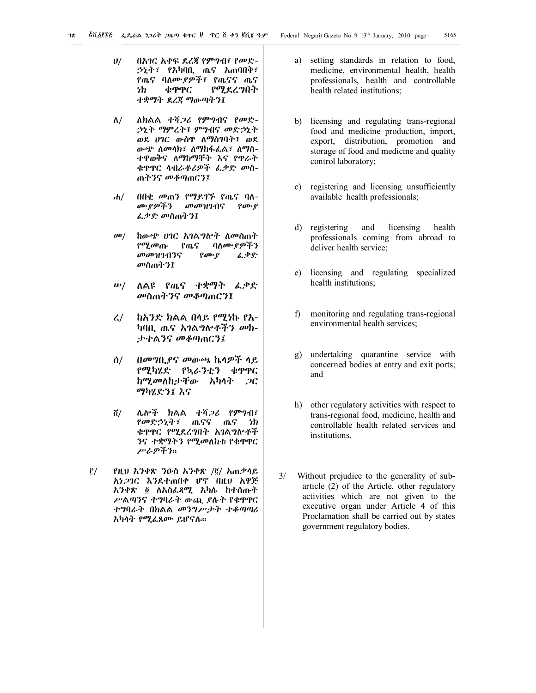- ሀ/ በአገር አቀፍ ደረጃ የምግብ፣ የመድ-ኃኒት፣ የአካባቢ ጤና አጠባበቅ፣ የጤና ባለሙያዎች፣ የጤናና ጤና ነክ ቁጥጥር የሚደረግበት ተቋማት ደረጃ ማውጣትን፤
- ለ/ ለክልል ተሻጋሪ የምግብና የመድ-ኃኒት ማምረት፣ ምግብና መድኃኒት ወደ ሀገር ውስጥ ለማስገባት፣ ወደ ውጭ ለመላክ፣ ለማከፋፈል፣ ለማስ-ተዋወቅና ለማከማቸት እና የጥራት ቁጥጥር ላብራቶሪዎች ፈቃድ መስ-ጠትንና መቆጣጠርን፤
- ሐ/ በበቂ መጠን የማይገኙ የጤና ባለ-<br>መደዎችን መመዝገብና የሙየ መመዝገብና የሙያ ፈቃድ መስጠትን፤
- መ/ ከውጭ ሀገር አገልግሎት ለመስጠት<br>የሚመጡ የጤና ባለሙያዎችን የሚመጡ የጤና ባለሙ*ያዎችን*<br>መመዝገብንና የሙያ *ፌ*ቃድ መመዝገብንና የሙያ መስጠትን፤
- ሠ/ ለልዩ የጤና ተቋማት ፈቃድ መስጠትንና መቆጣጠርን፤
- ረ/ ከአንድ ክልል በላይ የሚነኩ የአ-ካባቢ ጤና አገልግሎቶችን መከ-ታተልንና መቆጣጠርን፤
- ሰ/ በመግቢያና መውጫ ኬላዎች ላይ የሚካሄድ የኳራንቲን ቁጥጥር ከሚመለከታቸው አካላት ጋር ማካሄድን፤ እና
- ሸ/ ሌሎች ክልል ተሻጋሪ የምግብ፣ የመድኃኒት፣ ጤናና ጤና ነክ ቁጥጥር የሚደረግበት አገልግሎቶች ንና ተቋማትን የሚመለከቱ የቁጥጥር ሥራዎችን፡፡
- 3/ የዚህ አንቀጽ ንዑስ አንቀጽ /2/ አጠቃላይ አነጋገር እንደተጠበቀ ሆኖ በዚህ አዋጅ አንቀጽ 4 ለአስፈጻሚ አካሉ ከተሰጡት ሥልጣንና ተግባራት ውጪ ያሉት የቁጥጥር ተግባራት በክልል መንግሥታት ተቆጣጣሪ አካላት የሚፈጸሙ ይሆናሉ፡፡
- a) setting standards in relation to food, medicine, environmental health, health professionals, health and controllable health related institutions;
- b) licensing and regulating trans-regional food and medicine production, import, export, distribution, promotion and storage of food and medicine and quality control laboratory;
- c) registering and licensing unsufficiently available health professionals;
- d) registering and licensing health professionals coming from abroad to deliver health service;
- e) licensing and regulating specialized health institutions;
- f) monitoring and regulating trans-regional environmental health services;
- g) undertaking quarantine service with concerned bodies at entry and exit ports; and
- h) other regulatory activities with respect to trans-regional food, medicine, health and controllable health related services and institutions.
- 3/ Without prejudice to the generality of subarticle (2) of the Article, other regulatory activities which are not given to the executive organ under Article 4 of this Proclamation shall be carried out by states government regulatory bodies.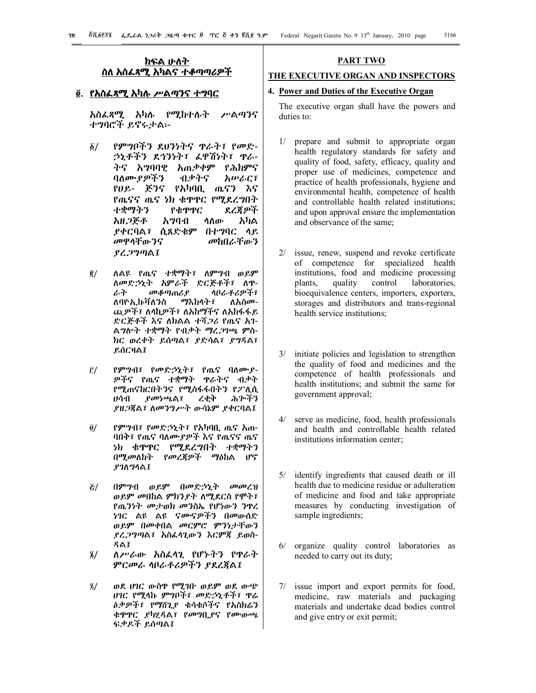# **ክፍል ሁለት ስለ አስፈጻሚ አካልና ተቆጣጣሪዎች**

# **4. የአስፈጻሚ አካሉ ሥልጣንና ተግባር**

አስፈጻሚ አካሉ የሚከተሉት ሥልጣንና ተግባሮች ይኖሩታል፡-

- 1/ የምግቦችን ደህንነትና ጥራት፣ የመድ-ኃኒቶችን ደኅንነት፣ ፈዋሽነት፣ ጥራ-ትና አግባባዊ አጠቃቀም የሕክምና ባለሙያዎችን ብቃትና አሠራር፣ የሀይ- ጅንና የአካባቢ ጤናን እና የጤናና ጤና ነክ ቁጥጥር የሚደረግበት ተቋማትን የቁጥጥር ደረጃዎች አዘጋጅቶ አግባብ ላለው አካል ያቀርባል፣ ሲጸድቁም በተግባር ላይ መዋላቸውንና መከበራቸውን ያረጋግጣል፤
- 2/ ለልዩ የጤና ተቋማት፣ ለምግብ ወይም ለመድኃኒት አምራች ድርጅቶች፣ ለ<mark>ዋ-</mark><br>ራት - መቆጣጠሪያ - ሳቦራቶሪዎች፣ *መቆጣጠሪያ ላቦራቶሪዎች፣*<br>Iለ*ን*ስ ማእከላት፣ ለአስመ-ለባዮኢኩቫለንስ ጪዎች፣ ለላኪዎች፣ ለአከማችና ለአከፋፋይ ድርጅቶች እና ለክልል ተሻጋሪ የጤና አገ-ልግሎት ተቋማት የብቃት ማረጋገጫ ምስ-ክር ወረቀት ይሰጣል፣ ያድሳል፣ ያግዳል፣ ይሰርዛል፤
- 3/ የምግብ፣ የመድኃኒት፣ የጤና ባለሙያ-ዎችና የጤና ተቋማት ጥራትና ብቃት የሚጠናከርበትንና የሚስፋፋበትን የፖሊሲ<br>ሀሳብ *ያመነጫ*ል፣ ረቂቅ ሕጕችን ሀሳብ ያመነጫል፣ ረቂቅ ያዘጋጃል፣ ለመንግሥት ውሳኔም ያቀርባል፤
- 4/ የምግብ፣ የመድኃኒት፣ የአካባቢ ጤና አጠ-ባበቅ፣ የጤና ባለሙያዎች እና የጤናና ጤና ነክ ቁጥጥር የሚደረግበት ተቋማትን በሚመለከት የመረጃዎች ማዕከል ሆኖ ያገለግላል፤
- 5/ በምግብ ወይም በመድኃኒት መመረዝ ወይም መበከል ምክንያት ለሚደርስ የሞት፣ የጤንነት መታወክ መንስኤ የሆነውን ንጥረ ነገር ልዩ ልዩ ናሙናዎችን በመውሰድ ወይም በመቀበል መርምሮ ምንነታቸውን ያረጋግጣል፣ አስፈላጊውን እርምጃ ይወስ-ዳል፤
- 6/ ለሥራው አስፈላጊ የሆኑትን የጥራት ምርመራ ላቦራቶሪዎችን ያደረጃል፤
- 7/ ወደ ሀገር ውስጥ የሚገቡ ወይም ወደ ውጭ ሀገር የሚላኩ ምግቦች፣ መድኃኒቶች፣ ጥሬ ዕቃዎች፣ የማሸጊያ ቁሳቁሶችና የአስክሬን ቁጥጥር ያካሂዳል፣ የመግቢያና የሙውጫ ፍቃዶች ይሰጣል፤

## **PART TWO**

# **THE EXECUTIVE ORGAN AND INSPECTORS**

# **4. Power and Duties of the Executive Organ**

The executive organ shall have the powers and duties to:

- 1/ prepare and submit to appropriate organ health regulatory standards for safety and quality of food, safety, efficacy, quality and proper use of medicines, competence and practice of health professionals, hygiene and environmental health, competence of health and controllable health related institutions; and upon approval ensure the implementation and observance of the same;
- 2/ issue, renew, suspend and revoke certificate of competence for specialized health institutions, food and medicine processing plants, quality control laboratories, bioequivalence centers, importers, exporters, storages and distributors and trans-regional health service institutions;
- 3/ initiate policies and legislation to strengthen the quality of food and medicines and the competence of health professionals and health institutions; and submit the same for government approval;
- 4/ serve as medicine, food, health professionals and health and controllable health related institutions information center;
- 5/ identify ingredients that caused death or ill health due to medicine residue or adulteration of medicine and food and take appropriate measures by conducting investigation of sample ingredients;
- 6/ organize quality control laboratories as needed to carry out its duty;
- 7/ issue import and export permits for food, medicine, raw materials and packaging materials and undertake dead bodies control and give entry or exit permit;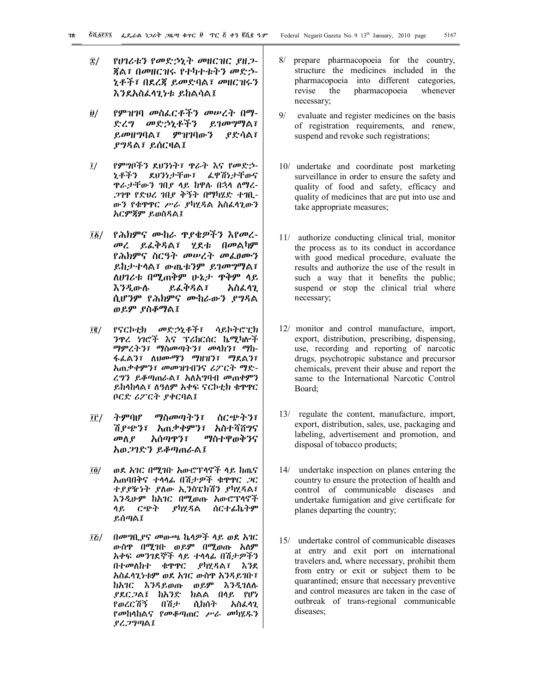- 8/ የሀገሪቱን የመድኃኒት መዘርዝር ያዘጋ-ጃል፣ በመዘርዝሩ የተካተቱትን መድኃ-ኒቶች፣ በደረጃ ይመድባል፣ መዘርዝሩን እንደአስፈላጊነቱ ይከልሳል፤
- 9/ የምዝገባ መስፈርቶችን መሠረት በማ-ድረግ መድኃኒቶችን ይገመግማል፣ ይመዘግባል፣ ምዝገባውን ያድሳል፣ ያግዳል፣ ይሰርዛል፤
- 0/ የምግቦችን ደህንነት፣ ጥራት እና የመድኃ-ኒቶችን ደህንነታቸው፣ ፈዋሽነታቸውና ጥራታቸውን ገበያ ላይ ከዋሉ በኋላ ለማረ-ጋገጥ የድህረ ገበያ ቅኝት በማካሄድ ተገቢ-ውን የቁጥጥር ሥራ ያካሂዳል አስፈላጊውን አርምጃም ይወስዳል፤
- 01/ የሕክምና ሙከራ ጥያቄዎችን እየመረ-መረ ይፈቅዳል፣ ሂደቱ በመልካም የሕክምና ስርዓት መሠረት መፈፀሙን ይከታተላል፣ ውጤቱንም ይገመግማል፣ ለሀገሪቱ በሚጠቅም ሁኔታ ጥቅም ላይ እንዲውሉ ይፈቅዳል፣ አስፈላጊ ሲሆንም የሕክምና ሙከራውን ያግዳል ወይም ያስቆማል፤
- 02/ የናርኮቲክ መድኃኒቶች፣ ሳይኮትሮፒክ ንጥረ ነገሮች እና ፕሪከርሰር ኬሚካሎች ማምረትን፣ ማስመጣትን፣ መላክን፣ ማከ-ፋፈልን፣ ለህሙማን ማዘዝን፣ ማደልን፣ አጠቃቀምን፣ መመዝገብንና ሪፖርት ማድ-ረግን ይቆጣጠራል፣ አለአግባብ መጠቀምን ይከላከላል፣ ለዓለም አቀፍ ናርኮቲክ ቁጥጥር ቦርድ ሪፖርት ያቀርባል፤
- 03/ ትምባሆ ማስመጣትን፣ ስርጭትን፣ ሽያጭን፣ አጠቃቀምን፣ አስተሻሸግና መለያ አሰጣጥን፣ ማስተዋወቅንና አወጋገድን ይቆጣጠራል፤
- 04/ ወደ አገር በሚገቡ አውሮፕላኖች ላይ ከጤና አጠባበቅና ተላላፊ በሽታዎች ቁጥጥር ጋር ተያያዥነት ያለው ኢንስፔክሽን ያካሂዳል፣ እንዲሁም ከአገር በሚወጡ አውሮፕላኖች ላይ ርጭት ያካሂዳል ሰርተፊኬትም ይሰጣል፤
- 05/ በመግቢያና መውጫ ኬላዎች ላይ ወደ አገር ውስጥ በሚገቡ ወይም በሚወጡ አለም አቀፍ መንገደኞች ላይ ተላላፊ በሽታዎችን በተመለከተ ቁጥጥር ያካሂዳል፣ እንደ አስፈላጊነቱም ወደ አገር ውስጥ አንዳይገቡ፣ ከአገር እንዳይወጡ ወይም እንዲገለሉ ያደርጋል፤ ከአንድ ክልል በላይ የሆነ የወረርሽኝ በሽታ ሲከሰት አስፈላጊ የመከላከልና የመቆጣጠር ሥራ መካሄዱን ያረጋግጣል፤
- 8/ prepare pharmacopoeia for the country, structure the medicines included in the pharmacopoeia into different categories, revise the pharmacopoeia whenever necessary;
- 9/ evaluate and register medicines on the basis of registration requirements, and renew, suspend and revoke such registrations;
- 10/ undertake and coordinate post marketing surveillance in order to ensure the safety and quality of food and safety, efficacy and quality of medicines that are put into use and take appropriate measures;
- 11/ authorize conducting clinical trial, monitor the process as to its conduct in accordance with good medical procedure, evaluate the results and authorize the use of the result in such a way that it benefits the public; suspend or stop the clinical trial where necessary;
- 12/ monitor and control manufacture, import, export, distribution, prescribing, dispensing, use, recording and reporting of narcotic drugs, psychotropic substance and precursor chemicals, prevent their abuse and report the same to the International Narcotic Control Board;
- 13/ regulate the content, manufacture, import, export, distribution, sales, use, packaging and labeling, advertisement and promotion, and disposal of tobacco products;
- 14/ undertake inspection on planes entering the country to ensure the protection of health and control of communicable diseases and undertake fumigation and give certificate for planes departing the country;
- 15/ undertake control of communicable diseases at entry and exit port on international travelers and, where necessary, prohibit them from entry or exit or subject them to be quarantined; ensure that necessary preventive and control measures are taken in the case of outbreak of trans-regional communicable diseases;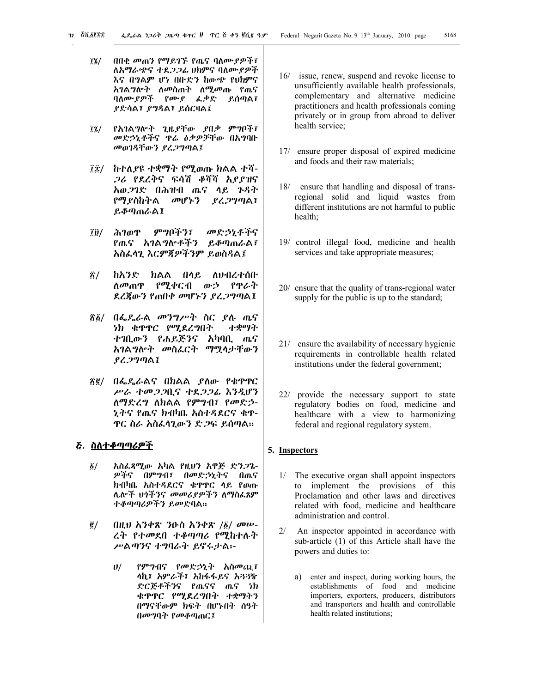- ፲፮/ በበቂ መጠን የማይገኙ የጤና ባለሙያዎች፣ ለአማራጭና ተደጋጋፊ ህክምና ባለሙያዎች እና በግልም ሆነ በቡድን ከውጭ የህክምና አገልግሎት ለመስጠት ለሚመጡ የጤና ባለሙያዎች የሙያ ፈቃድ ይሰጣል፣ ያድሳል፣ ያግዳል፣ ይሰርዛል፤
- 07/ የአገልግሎት ጊዜያቸው ያበቃ ምግቦች፣ መድኃኒቶችና ጥሬ ዕቃዎቻቸው በአግባቡ መወገዳቸውን ያረጋግጣል፤
- ፲፰/ ከተለያዩ ተቋማት የሚወጡ ክልል ተሻ-ጋሪ የደረቅና ፍሳሽ ቆሻሻ አያያዝና አወጋገድ በሕዝብ ጤና ላይ ጉዳት የማያስከትል መሆኑን ያረጋግጣል፣ ይቆጣጠራል፤
- 09/ ሕገወጥ ምግቦችን፣ መድኃኒቶችና የጤና አገልግሎቶችን ይቆጣጠራል፣ አስፈላጊ እርምጃዎችንም ይወስዳል፤
- !/ ከአንድ ክልል በላይ ለህብረተሰቡ ለመጠጥ የሚቀርብ ውኃ የጥራት ደረጃውን የጠበቀ መሆኑን ያረጋግጣል፤
- !1/ በፌዴራል መንግሥት ስር ያሉ ጤና ነክ ቁጥጥር የሚደረግበት ተቋማት ተገቢውን የሐይጅንና አካባቢ ጤና አገልግሎት መስፈርት ማሟላታቸውን ያረጋግጣል፤
- !2/ በፌዴራልና በክልል ያለው የቁጥጥር ሥራ ተመጋጋቢና ተደጋጋፊ እንዲሆን ለማድረግ ለክልል የምግብ፣ የመድኃ-ኒትና የጤና ክብካቤ አስተዳደርና ቁጥ-ጥር ስራ አስፈላጊውን ድጋፍ ይሰጣል፡፡

## **5. ስለተቆጣጣሪዎች**

- 1/ አስፈጻሚው አካል የዚህን አዋጅ ድንጋጌ-ዎችና በምግብ፣ በመድኃኒትና በጤና ክብካቤ አስተዳደርና ቁጥጥር ላይ የወጡ ሌሎች ህጎችንና መመሪያዎችን ለማስፈጸም ተቆጣጣሪዎችን ይመድባል፡፡
- $\tilde{g}/$  በዚህ አንቀጽ ንዑስ አንቀጽ / $\tilde{g}/$  መሠ-ረት የተመደበ ተቆጣጣሪ የሚከተሉት ሥልጣንና ተግባራት ይኖሩታል፡-
	- ሀ/ የምግብና የመድኃኒት አስመጪ፣ ላኪ፣ አምራች፣ አከፋፋይና አጓጓዥ ድርጅቶችንና የጤናና ጤና ነክ ቁጥጥር የሚደረግበት ተቋማትን በማናቸውም ክፍት በሆኑበት ሰዓት በመግባት የመቆጣጠር፤
- 16/ issue, renew, suspend and revoke license to unsufficiently available health professionals, complementary and alternative medicine practitioners and health professionals coming privately or in group from abroad to deliver health service;
- 17/ ensure proper disposal of expired medicine and foods and their raw materials;
- 18/ ensure that handling and disposal of transregional solid and liquid wastes from different institutions are not harmful to public health;
- 19/ control illegal food, medicine and health services and take appropriate measures;
- 20/ ensure that the quality of trans-regional water supply for the public is up to the standard;
- 21/ ensure the availability of necessary hygienic requirements in controllable health related institutions under the federal government;
- 22/ provide the necessary support to state regulatory bodies on food, medicine and healthcare with a view to harmonizing federal and regional regulatory system.

## **5. Inspectors**

- 1/ The executive organ shall appoint inspectors to implement the provisions of this Proclamation and other laws and directives related with food, medicine and healthcare administration and control.
- 2/ An inspector appointed in accordance with sub-article (1) of this Article shall have the powers and duties to:
	- a) enter and inspect, during working hours, the establishments of food and medicine importers, exporters, producers, distributors and transporters and health and controllable health related institutions;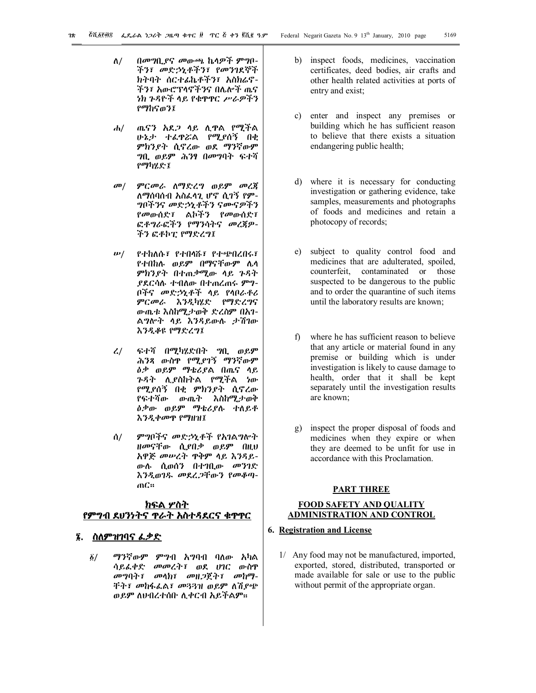- ለ/ በመግቢያና መውጫ ኬላዎች ምግቦ-ችን፣ መድኃኒቶችን፣ የመንገደኞች ክትባት ሰርተፊኬቶችን፣ አስክሬኖ-ችን፣ አውሮፕላኖችንና በሌሎች ጤና ነክ ጉዳዮች ላይ የቁጥጥር ሥራዎችን የማከናወን፤
- ሐ/ ጤናን አደጋ ላይ ሊጥል የሚችል ሁኔታ ተፈጥሯል የሚያሰኝ በቂ ምክንያት ሲኖረው ወደ ማንኛውም ግቢ ወይም ሕንፃ በመግባት ፍተሻ የማካሄድ፤
- መ/ ምርመራ ለማድረግ ወይም መረጃ ለማሰባሰብ አስፈላጊ ሆኖ ሲገኝ የም-ግቦችንና መድኃኒቶችን ናሙናዎችን የመውሰድ፣ ልኮችን የመውሰድ፣ ፎቶግራፎችን የማንሳትና መረጃዎ-ችን ፎቶኮፒ የማድረግ፤
- ሠ/ የተከለሱ፣ የተበላሹ፣ የተጭበረበሩ፣ የተበከሉ ወይም በማናቸውም ሌላ ምክንያት በተጠቃሚው ላይ ጉዳት ያደርሳሉ ተብለው በተጠረጠሩ ምግ-ቦችና መድኃኒቶች ላይ የላቦራቶሪ ምርመራ እንዲካሄድ የማድረግና ውጤቱ እስከሚታወቅ ድረስም በአገ-ልግሎት ላይ እንዳይውሉ ታሽገው እንዲቆዩ የማድረግ፤
- ረ/ ፍተሻ በሚካሄድበት ግቢ ወይም ሕንጻ ውስጥ የሚያገኝ ማንኛውም ዕቃ ወይም ማቴሪያል በጤና ላይ ጉዳት ሊያስከትል የሚችል ነው የሚያሰኝ በቂ ምክንያት ሲኖረው የፍተሻው ውጤት እስከሚታወቅ ዕቃው ወይም ማቴሪያሉ ተለይቶ እንዲቀመጥ የማዘዝ፤
- ሰ/ ምግቦችና መድኃኒቶች የአገልግሎት ዘመናቸው ሲያበቃ ወይም በዚህ አዋጅ መሠረት ጥቅም ላይ እንዳይ-ውሉ ሲወሰን በተገቢው መንገድ እንዲወገዱ መደረጋቸውን የመቆጣ-ጠር፡፡

# **ክፍል ሦስት የምግብ ደህንነትና ጥራት አስተዳደርና ቁጥጥር**

# **6. ስለምዝገባና ፈቃድ**

1/ ማንኛውም ምግብ አግባብ ባለው አካል ሳይፈቀድ መመረት፣ ወደ ሀገር ውስጥ መግባት፣ መላክ፣ መዘጋጀት፣ መከማ-ቸት፣ መከፋፈል፣ መጓጓዝ ወይም ለሽያጭ ወይም ለህብረተሰቡ ሊቀርብ አይችልም፡፡

- b) inspect foods, medicines, vaccination certificates, deed bodies, air crafts and other health related activities at ports of entry and exist;
- c) enter and inspect any premises or building which he has sufficient reason to believe that there exists a situation endangering public health;
- d) where it is necessary for conducting investigation or gathering evidence, take samples, measurements and photographs of foods and medicines and retain a photocopy of records;
- e) subject to quality control food and medicines that are adulterated, spoiled, counterfeit, contaminated or those suspected to be dangerous to the public and to order the quarantine of such items until the laboratory results are known;
- f) where he has sufficient reason to believe that any article or material found in any premise or building which is under investigation is likely to cause damage to health, order that it shall be kept separately until the investigation results are known;
- g) inspect the proper disposal of foods and medicines when they expire or when they are deemed to be unfit for use in accordance with this Proclamation.

#### **PART THREE**

# **FOOD SAFETY AND QUALITY ADMINISTRATION AND CONTROL**

# **6. Registration and License**

1/ Any food may not be manufactured, imported, exported, stored, distributed, transported or made available for sale or use to the public without permit of the appropriate organ.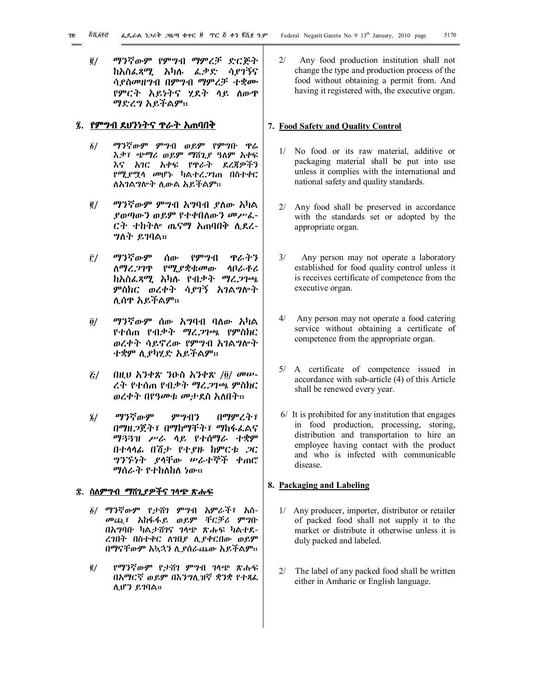2/ ማንኛውም የምግብ ማምረቻ ድርጅት ከአስፈጻሚ አካሉ ፈቃድ ሳያገኝና ሳያስመዘግብ በምግብ ማምረቻ ተቋሙ የምርት አይነትና ሂደት ላይ ለውጥ ማድረግ አይችልም፡፡

## **7. የምግብ ደህንነትና ጥራት አጠባበቅ**

- 1/ ማንኛውም ምግብ ወይም የምግቡ ጥሬ እቃ፣ ጭማሪ ወይም ማሸጊያ ዓለም አቀፍ እና አገር አቀፍ የጥራት ደረጃዎችን የሚያሟላ መሆኑ ካልተረጋገጠ በስተቀር ለአገልግሎት ሊውል አይችልም፡፡
- 2/ ማንኛውም ምግብ አግባብ ያለው አካል ያወጣውን ወይም የተቀበለውን መሥፈ-ርት ተከትሎ ጤናማ አጠባበቅ ሊደረ-ግለት ይገባል፡፡
- 3/ ማንኛውም ሰው የምግብ ጥራትን ለማረጋገጥ የሚያቋቁመው ላቦራቶሪ ከአስፈጻሚ አካሉ የብቃት ማረጋገጫ ምስክር ወረቀት ሳያገኝ አገልግሎት ሊሰጥ አይችልም፡፡
- 4/ ማንኛውም ሰው አግባብ ባለው አካል የተሰጠ የብቃት ማረጋገጫ የምስክር ወረቀት ሳይኖረው የምግብ አገልግሎት ተቋም ሊያካሂድ አይችልም፡፡
- $\xi/$  በዚህ አንቀጽ ንዑስ አንቀጽ /፬/ መሥ-ረት የተሰጠ የብቃት ማረጋገጫ ምስክር ወረቀት በየዓመቱ መታደስ አለበት፡፡
- 6/ ማንኛውም ምግብን በማምረት፣ በማዘጋጀት፣ በማከማቸት፣ ማከፋፈልና ማጓጓዝ ሥራ ላይ የተሰማራ ተቋም በተላላፊ በሽታ የተያዙ ከምርቱ ጋር ግንኙነት ያላቸው ሠራተኞች ቀጠሮ ማሰራት የተከለከለ ነው፡፡

#### **8. ስለምግብ ማሸጊያዎችና ገላጭ ጽሑፍ**

- 1/ ማንኛውም የታሸገ ምግብ አምራች፣ አስ-መጪ፣ አከፋፋይ ወይም ቸርቻሪ ምግቡ በአግባቡ ካልታሸገና ገላጭ ጽሑፍ ካልተደ-ረገበት በስተቀር ለገበያ ሊያቀርበው ወይም በማናቸውም አኳኋን ሊያሰራጨው አይችልም፡፡
- 2/ የማንኛውም የታሸገ ምግብ ገላጭ ጽሑፍ በአማርኛ ወይም በእንግሊዝኛ ቋንቋ የተጻፈ ሊሆን ይገባል፡፡

2/ Any food production institution shall not change the type and production process of the food without obtaining a permit from. And having it registered with, the executive organ.

## **7. Food Safety and Quality Control**

- 1/ No food or its raw material, additive or packaging material shall be put into use unless it complies with the international and national safety and quality standards.
- 2/ Any food shall be preserved in accordance with the standards set or adopted by the appropriate organ.
- 3/ Any person may not operate a laboratory established for food quality control unless it is receives certificate of competence from the executive organ.
- 4/ Any person may not operate a food catering service without obtaining a certificate of competence from the appropriate organ.
- 5/ A certificate of competence issued in accordance with sub-article (4) of this Article shall be renewed every year.
- 6/ It is prohibited for any institution that engages in food production, processing, storing, distribution and transportation to hire an employee having contact with the product and who is infected with communicable disease.

# **8. Packaging and Labeling**

- 1/ Any producer, importer, distributor or retailer of packed food shall not supply it to the market or distribute it otherwise unless it is duly packed and labeled.
- 2/ The label of any packed food shall be written either in Amharic or English language.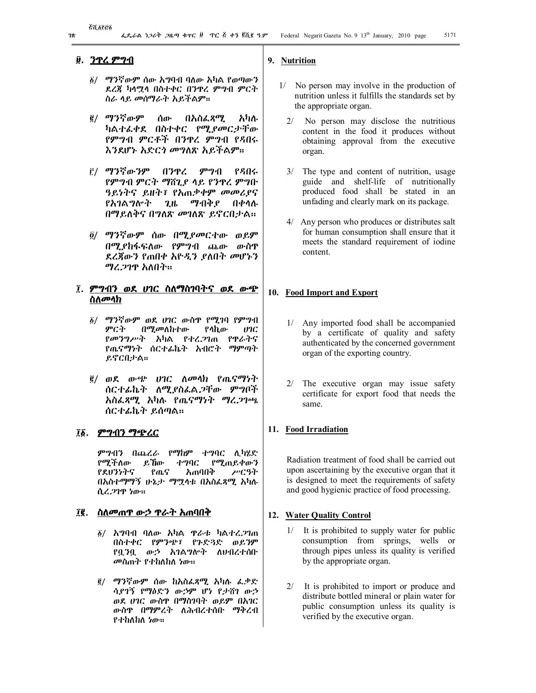# **9. ንጥረ ምግብ**

- 1/ ማንኛውም ሰው አግባብ ባለው አካል የወጣውን ደረጃ ካላሟላ በስተቀር በንጥረ ምግብ ምርት ስራ ላይ መሰማራት አይችልም፡፡
- 2/ ማንኛውም ሰው በአስፈጻሚ አካሉ ካልተፈቀደ በስተቀር የሚያመርታቸው የምግብ ምርቶች በንጥረ ምግብ የዳበሩ እንደሆኑ አድርጎ መግለጽ አይችልም፡፡
- 3/ ማንኛውንም በንጥረ ምግብ የዳበሩ የምግብ ምርት ማሸጊያ ላይ የንጥረ ምግቡ ዓይነትና ይዘት፣ የአጠቃቀም መመሪያና የአገልግሎት ጊዜ ማብቅያ በቀላሉ በማይለቅና በግለጽ መገለጽ ይኖርበታል፡፡
- 4/ ማንኛውም ሰው በሚያመርተው ወይም በሚያከፋፍለው የምግብ ጨው ውስጥ ደረጃውን የጠበቀ አዮዲን ያለበት መሆኑን ማረጋገጥ አለበት፡፡

# **0. ምግብን ወደ ሀገር ስለማስገባትና ወደ ውጭ ስለመላክ**

- 1/ ማንኛውም ወደ ሀገር ውስጥ የሚገባ የምግብ ምርት በሚመለከተው የሳኪው ሀገር<br>የመንግሥት አካል የተረ*ጋ*ገጠ የዋራትና *የመንግሥት አካ*ል *የተረጋገ*ጠ የጤናማነት ሰርተፊኬት አብሮት ማምጣት ይኖርበታል፡፡
- 2/ ወደ ውጭ ሀገር ለመላክ የጤናማነት ሰርተፊኬት ለሚያስፈልጋቸው ምግቦች አስፈጻሚ አካሉ የጤናማነት ማረጋገጫ ሰርተፊኬት ይሰጣል፡፡

## **01. ምግብን ማጭረር**

ምግብን በጨረራ የማከም ተግባር ሊካሄድ የሚችለው ይኸው ተግባር የሚጠይቀውን<br>የደህንነትና የጤና አጠባበቅ ሥርዓት የጤና አጠባበቅ በአስተማማኝ ሁኔታ ማሟላቱ በአስፈጻሚ አካሉ ሲረጋገጥ ነው፡፡

# **02. ስለመጠጥ ውኃ ጥራት አጠባበቅ**

- $\tilde{\mathfrak{g}}/$  አግባብ ባለው አካል ጥራቱ ካልተረ*ጋ*ገጠ በስተቀር የምንጭ፣ የጉድጓድ ወይንም የቧንቧ ውኃ አገልግሎት ለህብረተሰቡ መስጠት የተከለከለ ነው፡፡
- 2/ ማንኛውም ሰው ከአስፈጻሚ አካሉ ፈቃድ ሳያገኝ የማዕድን ውኃም ሆነ የታሸገ ውኃ ወደ ሀገር ውስጥ በማስገባት ወይም በአገር ውስጥ በማምረት ለሕብረተሰቡ ማቅረብ የተከለከለ ነው፡፡

# **9. Nutrition**

- 1/ No person may involve in the production of nutrition unless it fulfills the standards set by the appropriate organ.
	- 2/ No person may disclose the nutritious content in the food it produces without obtaining approval from the executive organ.
	- 3/ The type and content of nutrition, usage guide and shelf-life of nutritionally produced food shall be stated in an unfading and clearly mark on its package.
	- 4/ Any person who produces or distributes salt for human consumption shall ensure that it meets the standard requirement of iodine content.

# **10. Food Import and Export**

- 1/ Any imported food shall be accompanied by a certificate of quality and safety authenticated by the concerned government organ of the exporting country.
- 2/ The executive organ may issue safety certificate for export food that needs the same.

## **11. Food Irradiation**

Radiation treatment of food shall be carried out upon ascertaining by the executive organ that it is designed to meet the requirements of safety and good hygienic practice of food processing.

## **12. Water Quality Control**

- 1/ It is prohibited to supply water for public consumption from springs, wells or through pipes unless its quality is verified by the appropriate organ.
- 2/ It is prohibited to import or produce and distribute bottled mineral or plain water for public consumption unless its quality is verified by the executive organ.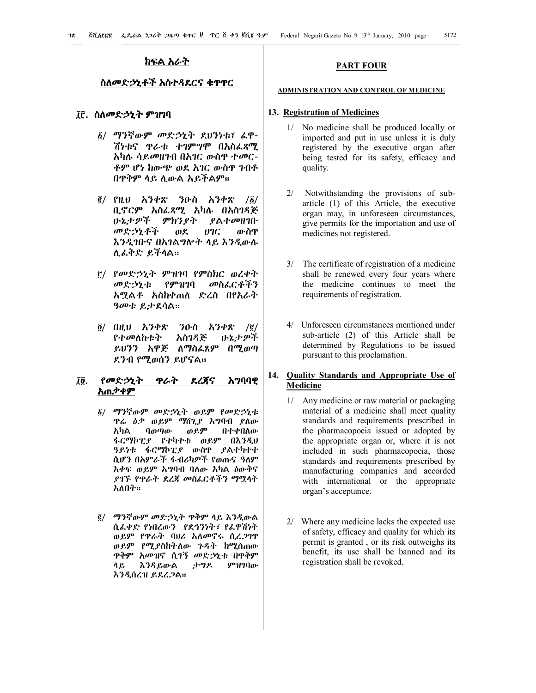## **ክፍል አራት**

# **ስለመድኃኒቶች አስተዳደርና ቁጥጥር**

# **03. ስለመድኃኒት ምዝገባ**

- 1/ ማንኛውም መድኃኒት ደህንነቱ፣ ፈዋ-ሽነቱና ጥራቱ ተገምግሞ በአስፈጻሚ አካሉ ሳይመዘገብ በአገር ውስጥ ተመር-ቶም ሆነ ከውጭ ወደ አገር ውስጥ ገብቶ በጥቅም ላይ ሊውል አይችልም፡፡
- $\bar{g}$ / የዚህ አንቀጽ ንዑስ አንቀጽ / $\bar{g}$ / ቢኖርም አስፈጻሚ አካሉ በአስገዳጅ ሁኔታዎች ምክንያት ያልተመዘገቡ መድኃኒቶች ወደ ሀገር ውስጥ እንዲገቡና በአገልግሎት ላይ እንዲውሉ ሊፈቅድ ይችላል፡፡
- 3/ የመድኃኒት ምዝገባ የምስክር ወረቀት መድኃኒቱ የምዝገባ መስፈርቶችን አሟልቶ አስከቀጠለ ድረስ በየአራት ዓመቱ ይታደሳል፡፡
- 4/ በዚህ አንቀጽ ንዑስ አንቀጽ /2/ የተመለከቱት አስገዳጅ ይህንን አዋጅ ለማስፈጸም በሚወጣ ደንብ የሚወሰን ይሆናል፡፡

# **04. የመድኃኒት ጥራት ደረጃና አግባባዊ አጠቃቀም**

- 1/ ማንኛውም መድኃኒት ወይም የመድኃኒቱ ዋሬ ዕቃ ወይም *ግ*ሸጊያ አግባብ ያለው<br>አካል ባወጣው ወይም በተቀበለው አካል ባወጣው ወይም በተቀበለው ፋርማኮፒያ የተካተቱ ወይም በእንዲህ ዓይነቱ ፋርማኮፒያ ውስጥ ያልተካተተ ሲሆን በአምራች ፋብሪካዎች የወጡና ዓለም አቀፍ ወይም አግባብ ባለው አካል ዕውቅና ያገኙ የጥራት ደረጃ መስፈርቶችን ማሟላት አለበት፡፡
- 2/ ማንኛውም መድኃኒት ጥቅም ላይ እንዲውል ሲፈቀድ የነበረውን የደኅንነት፣ የፈዋሽነት ወይም የጥራት ባህሪ አለመኖሩ ሲረጋገጥ ወይም የሚያስከትለው ጉዳት ከሚሰጠው ጥቅም አመዝኖ ሲገኝ መድኃኒቱ በጥቅም ላይ እንዳይውል ታግዶ ምዝገባው እንዲሰረዝ ይደረጋል፡፡

#### **PART FOUR**

#### **ADMINISTRATION AND CONTROL OF MEDICINE**

#### **13. Registration of Medicines**

- 1/ No medicine shall be produced locally or imported and put in use unless it is duly registered by the executive organ after being tested for its safety, efficacy and quality.
- 2/ Notwithstanding the provisions of subarticle (1) of this Article, the executive organ may, in unforeseen circumstances, give permits for the importation and use of medicines not registered.
- 3/ The certificate of registration of a medicine shall be renewed every four years where the medicine continues to meet the requirements of registration.
- 4/ Unforeseen circumstances mentioned under sub-article (2) of this Article shall be determined by Regulations to be issued pursuant to this proclamation.

# **14. Quality Standards and Appropriate Use of Medicine**

- 1/ Any medicine or raw material or packaging material of a medicine shall meet quality standards and requirements prescribed in the pharmacopoeia issued or adopted by the appropriate organ or, where it is not included in such pharmacopoeia, those standards and requirements prescribed by manufacturing companies and accorded with international or the appropriate organ's acceptance.
- 2/ Where any medicine lacks the expected use of safety, efficacy and quality for which its permit is granted , or its risk outweighs its benefit, its use shall be banned and its registration shall be revoked.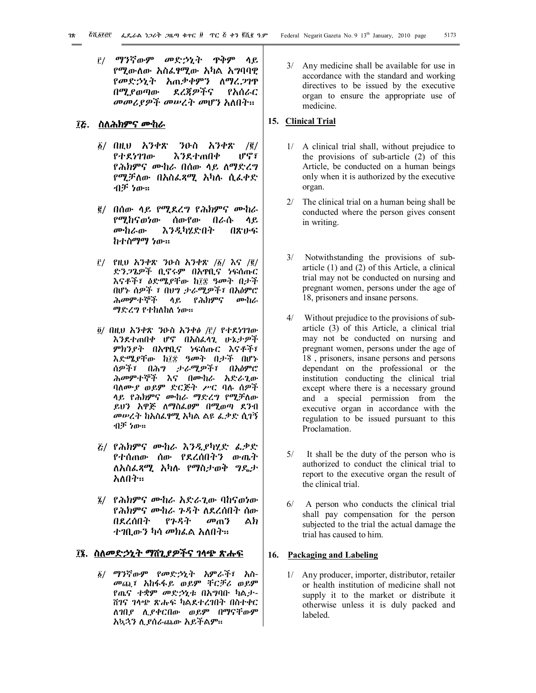3/ ማንኛውም መድኃኒት ጥቅም ላይ የሚውለው አስፈፃሚው አካል አግባባዊ የመድኃኒት አጠቃቀምን ለማረጋገጥ በሚያወጣው ደረጃዎችና የአሰራር መመሪያዎች መሠረት መሆን አለበት፡፡

# **05. ስለሕክምና ሙከራ**

- 1/ በዚህ አንቀጽ ንዑስ አንቀጽ /2/ እንደተጠበቀ ሆኖ፣ የሕክምና ሙከራ በሰው ላይ ለማድረግ የሚቻለው በአስፈጻሚ አካሉ ሲፈቀድ ብቻ ነው፡፡
- 2/ በሰው ላይ የሚደረግ የሕክምና ሙከራ የሚከናወነው ሰውየው በራሱ ላይ ሙከራው እንዲካሄድበት በጽሁፍ ከተስማማ ነው፡፡
- $\bar{r}$ / የዚህ አንቀጽ ንዑስ አንቀጽ /፩/ እና /፪/ ድንጋጌዎች ቢኖሩም በአጥቢና ነፍሰጡር እናቶች፣ ዕድሜያቸው ከ፲፰ ዓመት በታች በሆኑ ሰዎች ፣ በህግ ታራሚዎች፣ በአዕምሮ ሕመምተኞች ላይ የሕክምና ሙከራ ማድረግ የተከለከለ ነው፡፡
- 4/ በዚህ አንቀጽ ንዑስ አንቀፅ /3/ የተደነገገው እንደተጠበቀ ሆኖ በአስፈላጊ ሁኔታዎች ምክንያት በአጥቢና ነፍሰጡር እናቶች፣ እድሜያቸው ከ፲፰ ዓመት በታች በሆኑ ሰዎች፣ በሕግ ታራሚዎች፣ በአዕምሮ ሕመምተኞች እና በሙከራ አድራጊው ባለሙያ ወይም ድርጅት ሥር ባሉ ሰዎች ላይ የሕክምና ሙከራ ማድረግ የሚቻለው ይህን አዋጅ ለማስፈፀም በሚወጣ ደንብ መሠረት ከአስፈፃሚ አካል ልዩ ፈቃድ ሲገኝ ብቻ ነው፡፡
- 5/ የሕክምና ሙከራ እንዲያካሂድ ፈቃድ የተሰጠው ሰው የደረሰበትን ውጤት ለአስፈጻሚ አካሉ የማስታወቅ ግዴታ አለበት፡፡
- 6/ የሕክምና ሙከራ አድራጊው ባከናወነው የሕክምና ሙከራ ጉዳት ለደረሰበት ሰው በደረሰበት የጉዳት መጠን ልክ ተገቢውን ካሳ መክፈል አለበት፡፡

# **06. ስለመድኃኒት ማሸጊያዎችና ገላጭ ጽሑፍ**

1/ ማንኛውም የመድኃኒት አምራች፣ አስ-መጪ፣ አከፋፋይ ወይም ቸርቻሪ ወይም የጤና ተቋም መድኃኒቱ በአግባቡ ካልታ-ሸገና ገላጭ ጽሑፍ ካልደተረገበት በስተቀር ለገበያ ሊያቀርበው ወይም በማናቸውም አኳኋን ሊያሰራጨው አይችልም፡፡

3/ Any medicine shall be available for use in accordance with the standard and working directives to be issued by the executive organ to ensure the appropriate use of medicine.

# **15. Clinical Trial**

- 1/ A clinical trial shall, without prejudice to the provisions of sub-article (2) of this Article, be conducted on a human beings only when it is authorized by the executive organ.
- 2/ The clinical trial on a human being shall be conducted where the person gives consent in writing.
- 3/ Notwithstanding the provisions of subarticle (1) and (2) of this Article, a clinical trial may not be conducted on nursing and pregnant women, persons under the age of 18, prisoners and insane persons.
- 4/ Without prejudice to the provisions of subarticle (3) of this Article, a clinical trial may not be conducted on nursing and pregnant women, persons under the age of 18 , prisoners, insane persons and persons dependant on the professional or the institution conducting the clinical trial except where there is a necessary ground and a special permission from the executive organ in accordance with the regulation to be issued pursuant to this Proclamation.
- 5/ It shall be the duty of the person who is authorized to conduct the clinical trial to report to the executive organ the result of the clinical trial.
- 6/ A person who conducts the clinical trial shall pay compensation for the person subjected to the trial the actual damage the trial has caused to him.

#### **16. Packaging and Labeling**

1/ Any producer, importer, distributor, retailer or health institution of medicine shall not supply it to the market or distribute it otherwise unless it is duly packed and labeled.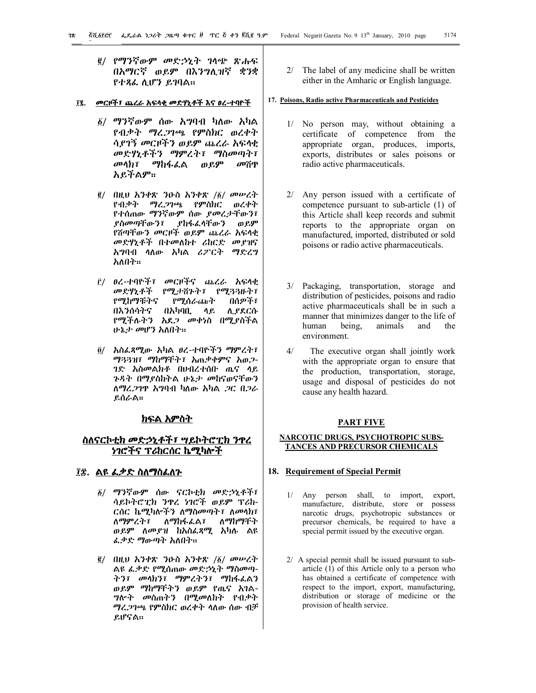$\ddot{\phantom{1}}$ 

2/ የማንኛውም መድኃኒት ገላጭ ጽሑፍ በአማርኛ ወይም በእንግሊዝኛ ቋንቋ የተጻፈ ሊሆን ይገባል፡፡

## **07. መርዞች፣ ጨረራ አፍላቂ መድሃኒቶች እና ፀረ-ተባዮች**

- 1/ ማንኛውም ሰው አግባብ ካለው አካል የብቃት ማረጋገጫ የምስክር ወረቀት ሳያገኝ መርዞችን ወይም ጨረራ አፍላቂ መድሃኒቶችን ማምረት፣ ማስመጣት፣ መላክ፣ ማከፋፈል ወይም መሸጥ አይችልም፡፡
- $\frac{1}{2}$  በዚህ አንቀጽ ንዑስ አንቀጽ / $\frac{1}{2}$ / መሠረት የብቃት ማረጋገጫ የምስክር ወረቀት የተሰጠው ማንኛውም ሰው ያመረታቸውን፣ ያከፋፈላቸውን ወይም የሸጣቸውን መርዞች ወይም ጨረራ አፍላቂ መድሃኒቶች በተመለከተ ሪከርድ መያዝና አግባብ ላለው አካል ሪፖርት ማድረግ አለበት፡፡
- 3/ ፀረ-ተባዮች፣ መርዞችና ጨረራ አፍላቂ መድሃኒቶች የሚታሸጉት፣ የሚጓጓዙት፣<br>የሚከማቹትና የሚሰራጩት በሰዎች፣ የሚከማቹትና የሚሰራጨት በእንሰሳትና በአካባቢ ላይ ሊያደርሱ የሚችሉትን አደጋ መቀነስ በሚያስችል ሁኔታ መሆን አለበት፡፡
- 4/ አስፈጻሚው አካል ፀረ-ተባዮችን ማምረት፣ ማጓጓዝ፣ ማከማቸት፣ አጠቃቀምና አወጋ-ገድ አስመልክቶ በህብረተሰቡ ጤና ላይ ጉዳት በማያስከትል ሁኔታ መከናወናቸውን ለማረጋገጥ አግባብ ካለው አካል ጋር በጋራ ይሰራል፡፡

## **ክፍል አምስት**

# **ስለናርኮቲክ መድኃኒቶች፣ ሣይኮትሮፒክ ንጥረ ነገሮችና ፕሪከርሰር ኬሚካሎች**

# **08. ልዩ ፈቃድ ስለማስፈለጉ**

- 1/ ማንኛውም ሰው ናርኮቲክ መድኃኒቶች፣ ሳይኮትሮፒክ ንጥረ ነገሮች ወይም ፕሪከ-ርሰር ኬሚካሎችን ለማስመጣት፣ ለመላክ፣ ለማምረት፣ ለማከፋፈል፣ ለማከማቸት ወይም ለመያዝ ከአስፈጻሚ አካሉ ልዩ ፈቃድ ማውጣት አለበት፡፡
- $\frac{1}{2}$  በዚህ አንቀጽ ንዑስ አንቀጽ / $\frac{1}{2}$ / መሠረት ልዩ ፈቃድ የሚሰጠው መድኃኒት ማስመጣ-ትን፣ መላክን፣ ማምረትን፣ ማከፋፈልን ወይም ማከማቸትን ወይም የጤና አገል-ግሎት መስጠትን በሚመለከት የብቃት ማረጋገጫ የምስክር ወረቀት ላለው ሰው ብቻ ይሆናል፡፡

2/ The label of any medicine shall be written either in the Amharic or English language.

## **17. Poisons, Radio active Pharmaceuticals and Pesticides**

- 1/ No person may, without obtaining a certificate of competence from the appropriate organ, produces, imports, exports, distributes or sales poisons or radio active pharmaceuticals.
- 2/ Any person issued with a certificate of competence pursuant to sub-article (1) of this Article shall keep records and submit reports to the appropriate organ on manufactured, imported, distributed or sold poisons or radio active pharmaceuticals.
- 3/ Packaging, transportation, storage and distribution of pesticides, poisons and radio active pharmaceuticals shall be in such a manner that minimizes danger to the life of human being, animals and the environment.
- 4/ The executive organ shall jointly work with the appropriate organ to ensure that the production, transportation, storage, usage and disposal of pesticides do not cause any health hazard.

## **PART FIVE**

#### **NARCOTIC DRUGS, PSYCHOTROPIC SUBS-TANCES AND PRECURSOR CHEMICALS**

#### **18. Requirement of Special Permit**

- 1/ Any person shall, to import, export, manufacture, distribute, store or possess narcotic drugs, psychotropic substances or precursor chemicals, be required to have a special permit issued by the executive organ.
- 2/ A special permit shall be issued pursuant to subarticle (1) of this Article only to a person who has obtained a certificate of competence with respect to the import, export, manufacturing, distribution or storage of medicine or the provision of health service.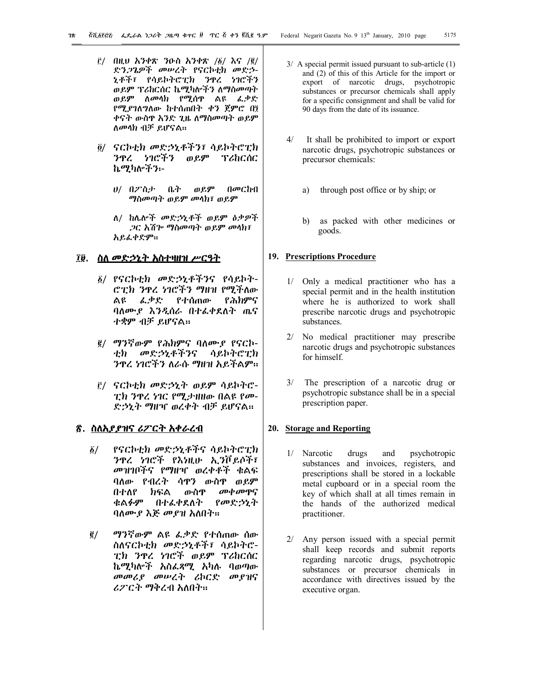- $\bar{E}$ / በዚህ አንቀጽ ንዑስ አንቀጽ /፩/ እና /፪/ ድንጋጌዎች መሠረት የናርኮቲክ መድኃ-ኒቶች፣ የሳይኮትሮፒክ ንጥረ ነገሮችን ወይም ፕሪከርሰር ኬሚካሎችን ለማስመጣት ወይም ለመላክ የሚሰጥ ልዩ ፈቃድ የሚያገለግለው ከተሰጠበት ቀን ጀምሮ በ፤ ቀናት ውስጥ አንድ ጊዜ ለማስመጣት ወይም ለመላክ ብቻ ይሆናል፡፡
- 4/ ናርኮቲክ መድኃኒቶችን፣ ሳይኮትሮፒክ ንጥረ ነገሮችን ወይም ፕሪከርሰር ኬሚካሎችን፡-
	- ሀ/ በፖስታ ቤት ወይም በመርከብ ማስመጣት ወይም መላክ፣ ወይም
	- ለ/ ከሌሎች መድኃኒቶች ወይም ዕቃዎች ጋር አሽጐ ማስመጣት ወይም መላክ፣ አይፈቀድም፡፡

## **09. ስለ መድኃኒት አስተዛዘዝ ሥርዓት**

- 1/ የናርኮቲክ መድኃኒቶችንና የሳይኮት-ሮፒክ ንጥረ ነገሮችን ማዘዝ የሚችለው ልዩ ፈቃድ የተሰጠው የሕክምና ባለሙያ እንዲሰራ በተፈቀደለት ጤና ተቋም ብቻ ይሆናል፡፡
- 2/ ማንኛውም የሕክምና ባለሙያ የናርኮ-ቲክ መድኃኒቶችንና ሳይኮትሮፒክ ንጥረ ነገሮችን ለራሱ ማዘዝ አይችልም፡፡
- 3/ ናርኮቲክ መድኃኒት ወይም ሳይኮትሮ-ፒክ ንጥረ ነገር የሚታዘዘው በልዩ የመ-ድኃኒት ማዘዣ ወረቀት ብቻ ይሆናል፡፡

# **!. ስለአያያዝና ሪፖርት አቀራረብ**

- 1/ የናርኮቲክ መድኃኒቶችና ሳይኮትሮፒክ ንጥረ ነገሮች የእነዚሁ ኢንቮይሶች፣ መዝገቦችና የማዘዣ ወረቀቶች ቁልፍ ባለው የብረት ሳጥን ውስጥ ወይም በተለየ ክፍል ውስዋ *መቀመ*ዋና<br>ቁልፉም በተራቀደለት የመድ*ኃኒ*ት በተፈቀደለት የመድኃኒት ባለሙያ እጅ መያዝ አለበት፡፡
- 2/ ማንኛውም ልዩ ፈቃድ የተሰጠው ሰው ስለናርኮቲክ መድኃኒቶች፣ ሳይኮትሮ-ፒክ ንጥረ ነገሮች ወይም ፕሪከርሰር ኬሚካሎች አስፈጻሚ አካሉ ባወጣው መመሪያ መሠረት ሪኮርድ መያዝና ሪፖርት ማቅረብ አለበት፡፡
- 3/ A special permit issued pursuant to sub-article (1) and (2) of this of this Article for the import or export of narcotic drugs, psychotropic substances or precursor chemicals shall apply for a specific consignment and shall be valid for 90 days from the date of its issuance.
- 4/ It shall be prohibited to import or export narcotic drugs, psychotropic substances or precursor chemicals:
	- a) through post office or by ship; or
	- b) as packed with other medicines or goods.

#### **19. Prescriptions Procedure**

- 1/ Only a medical practitioner who has a special permit and in the health institution where he is authorized to work shall prescribe narcotic drugs and psychotropic substances.
- 2/ No medical practitioner may prescribe narcotic drugs and psychotropic substances for himself.
- 3/ The prescription of a narcotic drug or psychotropic substance shall be in a special prescription paper.

#### **20. Storage and Reporting**

- 1/ Narcotic drugs and psychotropic substances and invoices, registers, and prescriptions shall be stored in a lockable metal cupboard or in a special room the key of which shall at all times remain in the hands of the authorized medical practitioner.
- 2/ Any person issued with a special permit shall keep records and submit reports regarding narcotic drugs, psychotropic substances or precursor chemicals in accordance with directives issued by the executive organ.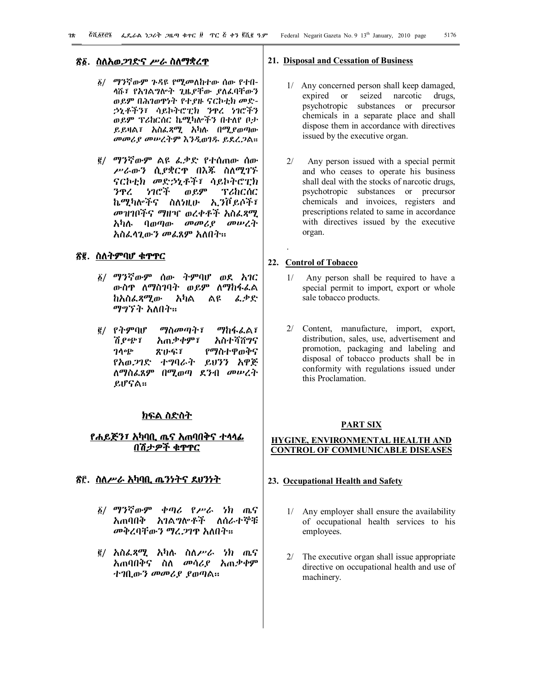## **!1. ስለአወጋገድና ሥራ ስለማቋረጥ**

- 1/ ማንኛውም ጉዳዩ የሚመለከተው ሰው የተበ-ላሹ፣ የአገልግሎት ጊዜያቸው ያለፈባቸውን ወይም በሕገወጥነት የተያዙ ናርኮቲክ መድ-ኃኒቶችን፣ ሳይኮትሮፒክ ንጥረ ነገሮችን ወይም ፕሪከርሰር ኬሚካሎችን በተለየ ቦታ ይይዛል፣ አስፈጻሚ አካሉ በሚያወጣው መመሪያ መሠረትም እንዲወገዱ ይደረጋል፡፡
- 2/ ማንኛውም ልዩ ፈቃድ የተሰጠው ሰው ሥራውን ሲያቋርጥ በእጁ ስለሚገኙ ናርኮቲክ መድኃኒቶች፣ ሳይኮትሮፒክ ንጥረ ነገሮች ወይም ፕሪከርሰር ኬሚካሎችና ስለነዚሁ ኢንቮይሶች፣ መዝገቦችና ማዘዣ ወረቀቶች አስፈጻሚ አካሉ ባወጣው መመሪያ መሠረት አስፈላጊውን መፈጸም አለበት፡፡

#### **!2. ስለትምባሆ ቁጥጥር**

- 1/ ማንኛውም ሰው ትምባሆ ወደ አገር ውስጥ ለማስገባት ወይም ለማከፋፈል ከአስፈጻሚው አካል ልዩ ፈቃድ ማግኘት አለበት፡፡
- 2/ የትምባሆ ማስመጣት፣ ማከፋፈል፣ ሽያጭ፣ አጠቃቀም፣ አስተሻሸግና ገላጭ ጽሁፍ፣ የማስተዋወቅና የአወጋገድ ተግባራት ይህንን አዋጅ ለማስፈጸም በሚወጣ ደንብ መሠረት ይሆናል፡፡

## **ክፍል ስድስት**

# <u>የሐይጅን፣ አካባቢ ጤና አጠባበቅና ተሳሳፊ</u> **በሽታዎች ቁጥጥር**

# **!3. ስለሥራ አካባቢ ጤንነትና ደህንነት**

- 1/ ማንኛውም ቀጣሪ የሥራ ነክ ጤና አጠባበቅ አገልግሎቶች ለሰራተኞቹ መቅረባቸውን ማረጋገጥ አለበት፡፡
- 2/ አስፈጻሚ አካሉ ስለሥራ ነክ ጤና አጠባበቅና ስለ መሳሪያ አጠቃቀም ተገቢውን መመሪያ ያወጣል፡፡

#### **21. Disposal and Cessation of Business**

- 1/ Any concerned person shall keep damaged, expired or seized narcotic drugs, psychotropic substances or precursor chemicals in a separate place and shall dispose them in accordance with directives issued by the executive organ.
- 2/ Any person issued with a special permit and who ceases to operate his business shall deal with the stocks of narcotic drugs, psychotropic substances or precursor chemicals and invoices, registers and prescriptions related to same in accordance with directives issued by the executive organ.

#### **22. Control of Tobacco**

.

- 1/ Any person shall be required to have a special permit to import, export or whole sale tobacco products.
- 2/ Content, manufacture, import, export, distribution, sales, use, advertisement and promotion, packaging and labeling and disposal of tobacco products shall be in conformity with regulations issued under this Proclamation.

## **PART SIX**

# **HYGINE, ENVIRONMENTAL HEALTH AND CONTROL OF COMMUNICABLE DISEASES**

# **23. Occupational Health and Safety**

- 1/ Any employer shall ensure the availability of occupational health services to his employees.
- 2/ The executive organ shall issue appropriate directive on occupational health and use of machinery.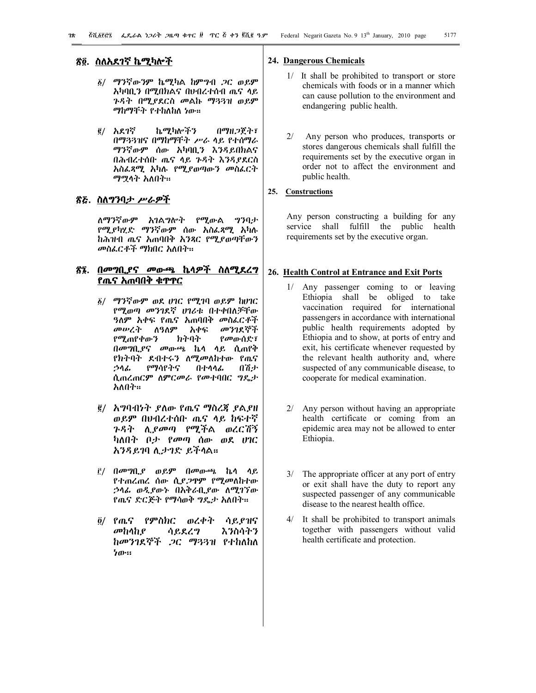# **!4. ስለአደገኛ ኬሚካሎች**

- 1/ ማንኛውንም ኬሚካል ከምግብ ጋር ወይም አካባቢን በሚበክልና በህብረተሰብ ጤና ላይ ጉዳት በሚያደርስ መልኩ ማጓጓዝ ወይም ማከማቸት የተከለከለ ነው፡፡
- 2/ አደገኛ ኬሚካሎችን በማዘጋጀት፣ በማጓጓዝና በማከማቸት ሥራ ላይ የተሰማራ ማንኛውም ሰው አካባቢን እንዳይበክልና በሕብረተሰቡ ጤና ላይ ጉዳት እንዳያደርስ አስፈጻሚ አካሉ የሚያወጣውን መስፈርት ማሟላት አለበት፡፡

# **!5. ስለግንባታ ሥራዎች**

ለማንኛውም አገልግሎት የሚውል ግንባታ የሚያካሂድ ማንኛውም ሰው አስፈጻሚ አካሉ ከሕዝብ ጤና አጠባበቅ አንጻር የሚያወጣቸውን መስፈርቶች ማክበር አለበት፡፡

# **!6. በመግቢያና መውጫ ኬላዎች ስለሚደረግ የጤና አጠባበቅ ቁጥጥር**

- 1/ ማንኛውም ወደ ሀገር የሚገባ ወይም ከሀገር የሚወጣ መንገደኛ ሀገሪቱ በተቀበለቻቸው <mark>ዓለም አ</mark>ቀፍ የጤና አጠባበቅ መስፈርቶች<br>*መሠረት ለዓለ*ም አቀፍ መንገደኞች *መሠረት* ለዓለም አቀፍ የሚጠየቀውን ክትባት የመውሰድ፣ በመግቢያና መውጫ ኬላ ላይ ሲጠየቅ የክትባት ደብተሩን ለሚመለከተው የጤና ኃላፊ የማሳየትና በተላላፊ በሽታ ሲጠረጠርም ለምርመራ የመተባበር ግዴታ አለበት፡፡
- 2/ አግባብነት ያለው የጤና ማስረጃ ያልያዘ ወይም በህብረተሰቡ ጤና ላይ ከፍተኛ ጉዳት ሊያመጣ የሚችል ወረርሽኝ ካለበት ቦታ የመጣ ሰው ወደ ሀገር አንዳይገባ ሊታገድ ይችላል፡፡
- 3/ በመግቢያ ወይም በመውጫ ኬላ ላይ የተጠረጠረ ሰው ሲያጋጥም የሚመለከተው ኃላፊ ወዲያውኑ በአቅራቢያው ለሚገኘው የጤና ድርጅት የማሳወቅ ግዴታ አለበት፡፡
- 4/ የጤና የምስክር ወረቀት ሳይያዝና መከላከያ ሳይደረግ እንስሳትን ከመንገደኞች ጋር ማጓጓዝ የተከለከለ ነው፡፡

#### **24. Dangerous Chemicals**

- 1/ It shall be prohibited to transport or store chemicals with foods or in a manner which can cause pollution to the environment and endangering public health.
- 2/ Any person who produces, transports or stores dangerous chemicals shall fulfill the requirements set by the executive organ in order not to affect the environment and public health.

## **25. Constructions**

Any person constructing a building for any service shall fulfill the public health requirements set by the executive organ.

#### **26. Health Control at Entrance and Exit Ports**

- 1/ Any passenger coming to or leaving Ethiopia shall be obliged to take vaccination required for international passengers in accordance with international public health requirements adopted by Ethiopia and to show, at ports of entry and exit, his certificate whenever requested by the relevant health authority and, where suspected of any communicable disease, to cooperate for medical examination.
- 2/ Any person without having an appropriate health certificate or coming from an epidemic area may not be allowed to enter Ethiopia.
- 3/ The appropriate officer at any port of entry or exit shall have the duty to report any suspected passenger of any communicable disease to the nearest health office.
- 4/ It shall be prohibited to transport animals together with passengers without valid health certificate and protection.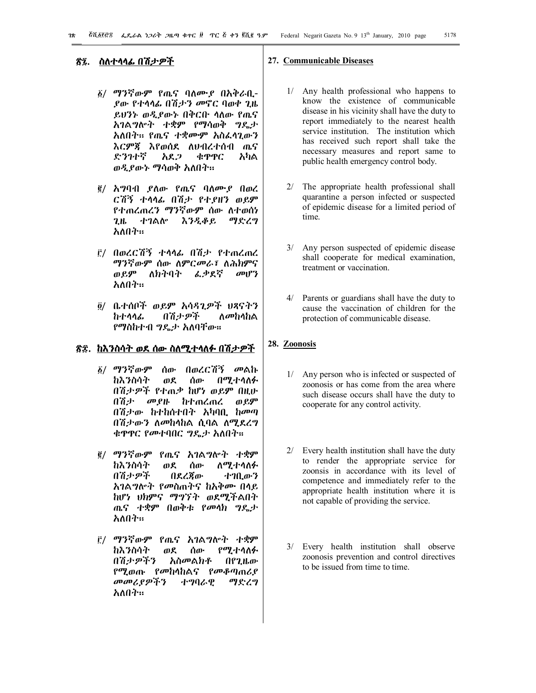# **!7. ስለተላላፊ በሽታዎች**

- 1/ ማንኛውም የጤና ባለሙያ በአቅራቢ-ያው የተላላፊ በሽታን መኖር ባወቀ ጊዜ ይህንኑ ወዲያውኑ በቅርቡ ላለው የጤና አገልግሎት ተቋም የማሳወቅ ግዴታ አለበት፡፡ የጤና ተቋሙም አስፈላጊውን እርምጃ እየወሰደ ለህብረተሰብ ጤና ድንገተኛ አደጋ ቁጥጥር አካል ወዲያውኑ ማሳወቅ አለበት፡፡
- 2/ አግባብ ያለው የጤና ባለሙያ በወረ ርሽኝ ተላላፊ በሽታ የተያዘን ወይም የተጠረጠረን ማንኛውም ሰው ለተወሰነ ጊዜ ተገልሎ እንዲቆይ ማድረግ አለበት፡፡
- 3/ በወረርሽኝ ተላላፊ በሽታ የተጠረጠረ <mark>ማንኛውም ሰው ለምርመራ፣ ለሕክምና</mark><br>ወይም ለክትባት ፊቃደኛ መሆን ወይም ለክትባት አለበት፡፡
- 4/ ቤተሰቦች ወይም አሳዳጊዎች ህጻናትን ከተላላፊ በሽታዎች ለመከላከል የማስከተብ ግዴታ አለባቸው፡፡

# **!8. ከእንስሳት ወደ ሰው ስለሚተላለፉ በሽታዎች**

- 1/ ማንኛውም ሰው በወረርሽኝ መልኩ ከእንስሳት ወደ ሰው በሚተላለፉ በሽታዎች የተጠቃ ከሆነ ወይም በዚሁ<br>በሽታ - መያዙ - ከተጠረጠረ - ወይም ከተጠረጠረ ወይም በሽታው ከተከሰተበት አካባቢ ከመጣ በሽታውን ለመከላከል ሲባል ለሚደረግ ቁዋዋር የመተባበር ግዴታ አለበት።
- 2/ ማንኛውም የጤና አገልግሎት ተቋም ከእንስሳት ወደ ሰው ለሚተላለፉ በሽታዎች በደረጃው ተገቢውን አገልግሎት የመስጠትና ከአቅሙ በላይ ከሆነ ህክምና ማግኘት ወደሚችልበት ጤና ተቋም በወቅቱ የመላክ ግዴታ አለበት፡፡
- 3/ ማንኛውም የጤና አገልግሎት ተቋም ከእንስሳት ወደ ሰው የሚተላለፉ በሽታዎችን አስመልክቶ በየጊዜው የሚወጡ የመከላከልና የመቆጣጠሪያ መመሪያዎችን ተግባራዊ ማድረግ አለበት፡፡

#### **27. Communicable Diseases**

- 1/ Any health professional who happens to know the existence of communicable disease in his vicinity shall have the duty to report immediately to the nearest health service institution. The institution which has received such report shall take the necessary measures and report same to public health emergency control body.
- 2/ The appropriate health professional shall quarantine a person infected or suspected of epidemic disease for a limited period of time.
- 3/ Any person suspected of epidemic disease shall cooperate for medical examination, treatment or vaccination.
- 4/ Parents or guardians shall have the duty to cause the vaccination of children for the protection of communicable disease.

# **28. Zoonosis**

- 1/ Any person who is infected or suspected of zoonosis or has come from the area where such disease occurs shall have the duty to cooperate for any control activity.
- 2/ Every health institution shall have the duty to render the appropriate service for zoonsis in accordance with its level of competence and immediately refer to the appropriate health institution where it is not capable of providing the service.
- 3/ Every health institution shall observe zoonosis prevention and control directives to be issued from time to time.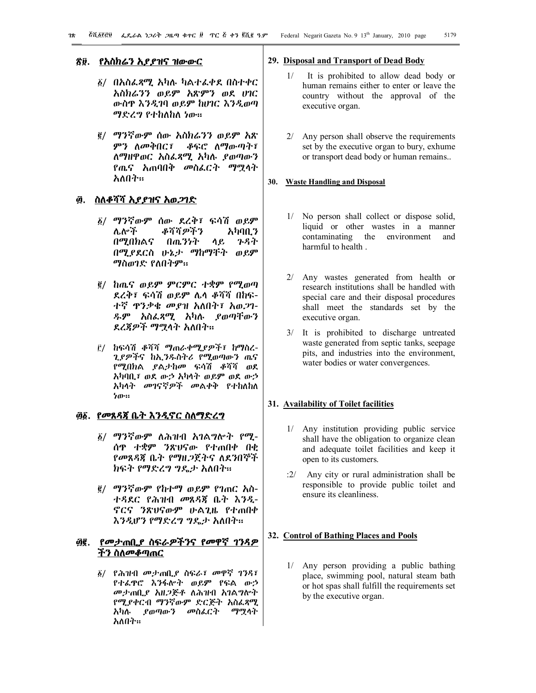## **!9. የአስክሬን አያያዝና ዝውውር**

- 1/ በአስፈጻሚ አካሉ ካልተፈቀደ በስተቀር አስክሬንን ወይም አጽምን ወደ ሀገር ውስጥ እንዲገባ ወይም ከሀገር እንዲወጣ ማድረግ የተከለከለ ነው፡፡
- 2/ ማንኛውም ሰው አስክሬንን ወይም አጽ ምን ለመቅበር፣ ቆፍሮ ለማውጣት፣ ለማዘዋወር አስፈጻሚ አካሉ ያወጣውን የጤና አጠባበቅ መስፈርት ማሟላት አለበት፡፡

# **". ስለቆሻሻ አያያዝና አወጋገድ**

- 1/ ማንኛውም ሰው ደረቅ፣ ፍሳሽ ወይም ሌሎች ቆሻሻዎችን አካባቢን በሚበክልና በጤንነት ላይ ጉዳት በሚያደርስ ሁኔታ ማከማቸት ወይም ማስወገድ የለበትም፡፡
- 2/ ከጤና ወይም ምርምር ተቋም የሚወጣ ደረቅ፣ ፍሳሽ ወይም ሌላ ቆሻሻ በከፍ-ተኛ ጥንቃቄ መያዝ አለበት፣ አወጋገ-ዱም አስፈጻሚ አካሉ ያወጣቸውን ደረጃዎች ማሟላት አለበት፡፡
- 3/ ከፍሳሽ ቆሻሻ ማጠራቀሚያዎች፣ ከማስረ-ጊያዎችና ከኢንዱስትሪ የሚወጣውን ጤና የሚበክል ያልታከመ ፍሳሽ ቆሻሻ ወደ አካባቢ፣ ወደ ውኃ አካላት ወይም ወደ ውኃ አካላት መገናኛዎች መልቀቅ የተከለከለ ነው፡፡

# **"1. የመጸዳጃ ቤት እንዲኖር ስለማድረግ**

- 1/ ማንኛውም ለሕዝብ አገልግሎት የሚ-ሰጥ ተቋም ንጽህናው የተጠበቀ በቂ የመጸዳጃ ቤት የማዘጋጀትና ለደንበኞች ክፍት የማድረግ ግዴታ አለበት፡፡
- 2/ ማንኛውም የከተማ ወይም የገጠር አስ-ተዳደር የሕዝብ መጸዳጃ ቤት እንዲ-ኖርና ንጽህናውም ሁልጊዜ የተጠበቀ እንዲሆን የማድረግ ግዴታ አለበት፡፡

# **"2. የመታጠቢያ ስፍራዎችንና የመዋኛ ገንዳዎ ችን ስለመቆጣጠር**

1/ የሕዝብ መታጠቢያ ስፍራ፣ መዋኛ ገንዳ፣ የተፈጥሮ እንፋሎት ወይም የፍል ውኃ መታጠቢያ አዘጋጅቶ ለሕዝብ አገልግሎት የሚያቀርብ ማንኛውም ድርጅት አስፈጻሚ አካሉ ያወጣውን መስፈርት ማሟላት አለበት፡፡

#### **29. Disposal and Transport of Dead Body**

- 1/ It is prohibited to allow dead body or human remains either to enter or leave the country without the approval of the executive organ.
- 2/ Any person shall observe the requirements set by the executive organ to bury, exhume or transport dead body or human remains..

#### **30. Waste Handling and Disposal**

- 1/ No person shall collect or dispose solid, liquid or other wastes in a manner contaminating the environment and harmful to health .
- 2/ Any wastes generated from health or research institutions shall be handled with special care and their disposal procedures shall meet the standards set by the executive organ.
- 3/ It is prohibited to discharge untreated waste generated from septic tanks, seepage pits, and industries into the environment, water bodies or water convergences.

#### **31. Availability of Toilet facilities**

- 1/ Any institution providing public service shall have the obligation to organize clean and adequate toilet facilities and keep it open to its customers.
- :2/ Any city or rural administration shall be responsible to provide public toilet and ensure its cleanliness.

#### **32. Control of Bathing Places and Pools**

1/ Any person providing a public bathing place, swimming pool, natural steam bath or hot spas shall fulfill the requirements set by the executive organ.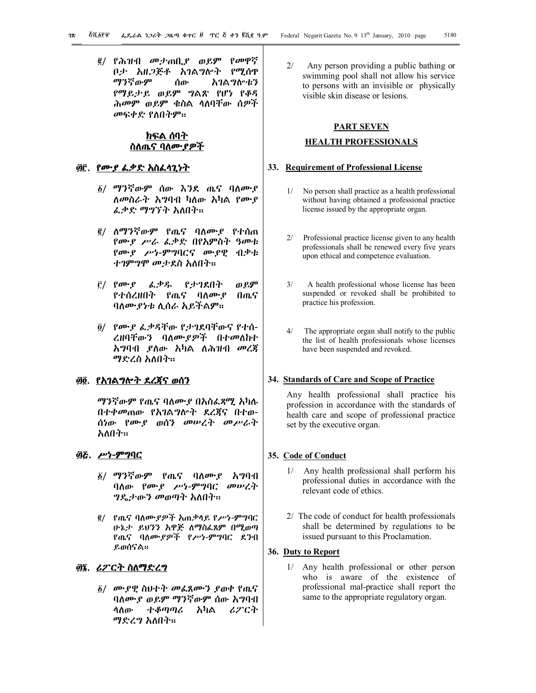2/ የሕዝብ መታጠቢያ ወይም የመዋኛ ቦታ አዘጋጅቶ አገልግሎት የሚሰጥ ማንኛውም ሰው አገልግሎቱን የማይታይ ወይም ግልጽ የሆነ የቆዳ ሕመም ወይም ቁስል ላለባቸው ሰዎች መፍቀድ የለበትም፡፡

# **ክፍል ሰባት ስለጤና ባለሙያዎች**

# **"3. የሙያ ፈቃድ አስፈላጊነት**

- 1/ ማንኛውም ሰው እንደ ጤና ባለሙያ ለመስራት አግባብ ካለው አካል የሙያ ፈቃድ ማግኘት አለበት፡፡
- 2/ ለማንኛውም የጤና ባለሙያ የተሰጠ የሙያ ሥራ ፈቃድ በየአምስት ዓመቱ የሙያ ሥነ-ምግባርና ሙያዊ ብቃቱ ተገምግሞ መታደስ አለበት፡፡
- 3/ የሙያ ፈቃዱ የታገደበት ወይም የተሰረዘበት የጤና ባለሙያ በጤና ባለሙያነቱ ሊሰራ አይችልም፡፡
- 4/ የሙያ ፈቃዳቸው የታገደባቸውና የተሰ-ረዘባቸውን ባለሙያዎች በተመለከተ አግባብ ያለው አካል ለሕዝብ መረጃ ማድረስ አለበት፡፡

# **"4. የአገልግሎት ደረጃና ወሰን**

ማንኛውም የጤና ባለሙያ በአስፈጻሚ አካሉ በተቀመጠው የአገልግሎት ደረጃና በተወ-ሰነው የሙያ ወሰን መሠረት መሥራት አለበት፡፡

## **"5. ሥነ-ምግባር**

- 1/ ማንኛውም የጤና ባለሙያ አግባብ ባለው የሙያ ሥነ-ምግባር መሠረት ግዴታውን መወጣት አለበት፡፡
- 2/ የጤና ባለሙያዎች አጠቃላይ የሥነ-ምግባር ሁኔታ ይህንን አዋጅ ለማስፈጸም በሚወጣ የጤና ባለሙያዎች የሥነ-ምግባር ደንብ ይወሰናል፡፡

# **"6. ሪፖርት ስለማድረግ**

1/ ሙያዊ ስህተት መፈጸሙን ያወቀ የጤና ባለሙያ ወይም ማንኛውም ሰው አግባብ ላለው ተቆጣጣሪ አካል ሪፖርት ማድረግ አለበት፡፡

2/ Any person providing a public bathing or swimming pool shall not allow his service to persons with an invisible or physically visible skin disease or lesions.

## **PART SEVEN**

## **HEALTH PROFESSIONALS**

#### **33. Requirement of Professional License**

- 1/ No person shall practice as a health professional without having obtained a professional practice license issued by the appropriate organ.
- 2/ Professional practice license given to any health professionals shall be renewed every five years upon ethical and competence evaluation.
- 3/ A health professional whose license has been suspended or revoked shall be prohibited to practice his profession.
- 4/ The appropriate organ shall notify to the public the list of health professionals whose licenses have been suspended and revoked.

## **34. Standards of Care and Scope of Practice**

Any health professional shall practice his profession in accordance with the standards of health care and scope of professional practice set by the executive organ.

#### **35. Code of Conduct**

- 1/ Any health professional shall perform his professional duties in accordance with the relevant code of ethics.
- 2/ The code of conduct for health professionals shall be determined by regulations to be issued pursuant to this Proclamation.

#### **36. Duty to Report**

1/ Any health professional or other person who is aware of the existence of professional mal-practice shall report the same to the appropriate regulatory organ.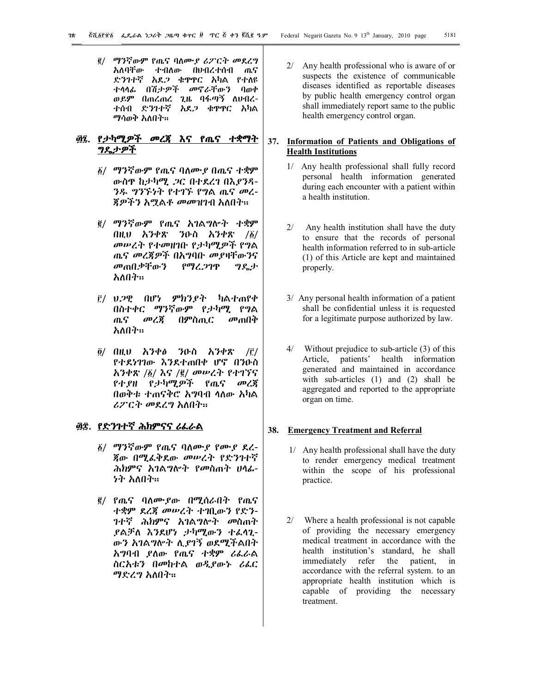2/ ማንኛውም የጤና ባለሙያ ሪፖርት መደረግ አለባቸው ተብለው በህብረተሰብ ጤና ድንገተኛ አደጋ ቁጥጥር አካል የተለዩ ተላላፊ በሽታዎች መኖራቸውን ባወቀ ወይም በጠረጠረ ጊዜ ባፋጣኝ ለህብረ-ተሰብ ድንገተኛ አደጋ ቁጥጥር አካል ማሳወቅ አለበት፡፡

# **"7. የታካሚዎች መረጃ እና የጤና ተቋማት ግዴታዎች**

- 1/ ማንኛውም የጤና ባለሙያ በጤና ተቋም ውስጥ ከታካሚ ጋር በተደረገ በእያንዳ-ንዱ ግንኙነት የተገኙ የግል ጤና መረ-ጃዎችን አሟልቶ መመዝገብ አለበት፡፡
- 2/ ማንኛውም የጤና አገልግሎት ተቋም በዚህ አንቀጽ ንዑስ አንቀጽ  $/6/1$ መሠረት የተመዘገቡ የታካሚዎች የግል ጤና መረጃዎች በአግባቡ መያዛቸውንና መጠበቃቸውን የማረጋገጥ ግዴታ አለበት፡፡
- 3/ ህጋዊ በሆነ ምክንያት ካልተጠየቀ በስተቀር ማንኛውም የታካሚ የግል ጤና መረጃ በምስጢር መጠበቅ አለበት፡፡
- $\tilde{g}/$  በዚህ አንቀፅ ንዑስ አንቀጽ /፫/ የተደነገገው እንደተጠበቀ ሆኖ በንዑስ አንቀጽ /1/ እና /2/ መሠረት የተገኘና የተያዘ የታካሚዎች የጤና መረጃ በወቅቱ ተጠናቅሮ አግባብ ላለው አካል ሪፖርት መደረግ አለበት፡፡

# **"8. የድንገተኛ ሕክምናና ሪፈራል**

- 1/ ማንኛውም የጤና ባለሙያ የሙያ ደረ-ጃው በሚፈቅደው መሠረት የድንገተኛ ሕክምና አገልግሎት የመስጠት ሀላፊ-ነት አለበት፡፡
- 2/ የጤና ባለሙያው በሚሰራበት የጤና ተቋም ደረጃ መሠረት ተገቢውን የድን-ገተኛ ሕክምና አገልግሎት መስጠት ያልቻለ እንደሆነ ታካሚውን ተፈላጊ-ውን አገልግሎት ሊያገኝ ወደሚችልበት አግባብ ያለው የጤና ተቋም ሪፈራል ስርአቱን በመከተል ወዲያውኑ ሪፈር ማድረግ አለበት፡፡

2/ Any health professional who is aware of or suspects the existence of communicable diseases identified as reportable diseases by public health emergency control organ shall immediately report same to the public health emergency control organ.

## **37. Information of Patients and Obligations of Health Institutions**

- 1/ Any health professional shall fully record personal health information generated during each encounter with a patient within a health institution.
- 2/ Any health institution shall have the duty to ensure that the records of personal health information referred to in sub-article (1) of this Article are kept and maintained properly.
- 3/ Any personal health information of a patient shall be confidential unless it is requested for a legitimate purpose authorized by law.
- 4/ Without prejudice to sub-article (3) of this Article, patients' health information generated and maintained in accordance with sub-articles (1) and (2) shall be aggregated and reported to the appropriate organ on time.

## **38. Emergency Treatment and Referral**

- 1/ Any health professional shall have the duty to render emergency medical treatment within the scope of his professional practice.
- 2/ Where a health professional is not capable of providing the necessary emergency medical treatment in accordance with the health institution's standard, he shall immediately refer the patient, in accordance with the referral system. to an appropriate health institution which is capable of providing the necessary treatment.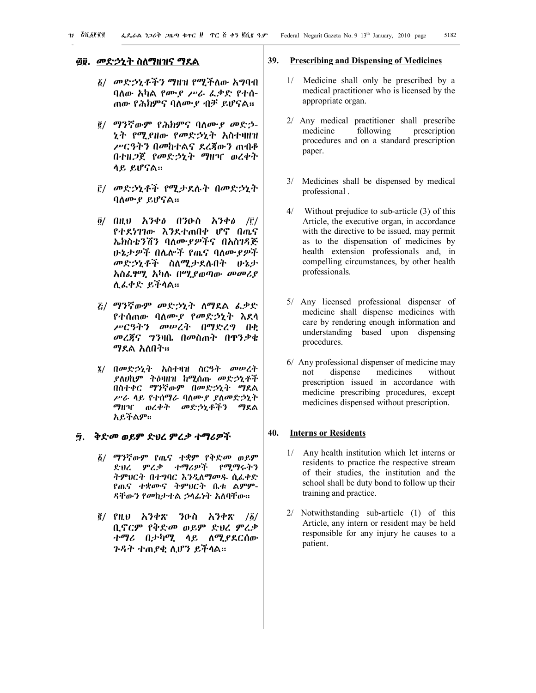# **"9. መድኃኒት ስለማዘዝና ማደል**

- 1/ መድኃኒቶችን ማዘዝ የሚችለው አግባብ ባለው አካል የሙያ ሥራ ፈቃድ የተሰ-ጠው የሕክምና ባለሙያ ብቻ ይሆናል፡፡
- 2/ ማንኛውም የሕክምና ባለሙያ መድኃ-ኒት የሚያዘው የመድኃኒት አስተዛዘዝ ሥርዓትን በመከተልና ደረጃውን ጠብቆ በተዘጋጀ የመድኃኒት ማዘዣ ወረቀት ላይ ይሆናል፡፡
- 3/ መድኃኒቶች የሚታደሉት በመድኃኒት ባለሙያ ይሆናል፡፡
- $\tilde{g}$ / በዚህ አንቀፅ በንዑስ አንቀፅ /፫/ የተደነገገው እንደተጠበቀ ሆኖ በጤና ኤክስቴንሽን ባለሙያዎችና በአስገዳጅ ሁኔታዎች በሌሎች የጤና ባለሙያዎች መድኃኒቶች ስለሚታደሉበት ሁኔታ አስፈፃሚ አካሉ በሚያወጣው መመሪያ ሊፈቀድ ይችላል፡፡
- 5/ ማንኛውም መድኃኒት ለማደል ፈቃድ የተሰጠው ባለሙያ የመድኃኒት እደላ ሥርዓትን መሠረት በማድረግ በቂ መረጃና ግንዛቤ በመስጠት በጥንቃቄ ማደል አለበት፡፡
- 6/ በመድኃኒት አስተዛዝ ስርዓት መሠረት ያለሀኪም ትዕዛዘዝ ከሚሰጡ መድኃኒቶች በስተቀር ማንኛውም በመድኃኒት ማደል ሥራ ላይ የተሰማራ ባለሙያ ያለመድኃኒት ማዘዣ ወረቀት መድኃኒቶችን ማደል አይችልም፡፡

# **#. ቅድመ ወይም ድህረ ምረቃ ተማሪዎች**

- 1/ ማንኛውም የጤና ተቋም የቅድመ ወይም ድህረ ምረቃ ተማሪዎች የሚማሩትን ትምህርት በተግባር እንዲለማመዱ ሲፈቀድ የጤና ተቋሙና ትምህርት ቤቱ ልምም-ዳቸውን የመከታተል ኃላፊነት አለባቸው፡፡
- $\frac{2}{3}$ / የዚህ አንቀጽ ንዑስ አንቀጽ / $\frac{2}{9}$ / ቢኖርም የቅድመ ወይም ድህረ ምረቃ ተማሪ በታካሚ ላይ ለሚያደርሰው ጉዳት ተጠያቂ ሊሆን ይችላል፡፡

#### **39. Prescribing and Dispensing of Medicines**

- 1/ Medicine shall only be prescribed by a medical practitioner who is licensed by the appropriate organ.
- 2/ Any medical practitioner shall prescribe medicine following prescription procedures and on a standard prescription paper.
- 3/ Medicines shall be dispensed by medical professional .
- 4/ Without prejudice to sub-article (3) of this Article, the executive organ, in accordance with the directive to be issued, may permit as to the dispensation of medicines by health extension professionals and, in compelling circumstances, by other health professionals.
- 5/ Any licensed professional dispenser of medicine shall dispense medicines with care by rendering enough information and understanding based upon dispensing procedures.
- 6/ Any professional dispenser of medicine may not dispense medicines without prescription issued in accordance with medicine prescribing procedures, except medicines dispensed without prescription.

# **40. Interns or Residents**

- 1/ Any health institution which let interns or residents to practice the respective stream of their studies, the institution and the school shall be duty bond to follow up their training and practice.
- 2/ Notwithstanding sub-article (1) of this Article, any intern or resident may be held responsible for any injury he causes to a patient.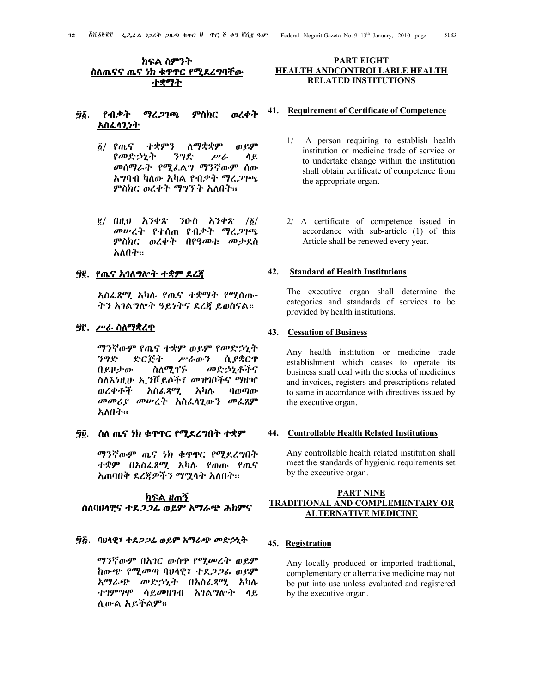# **ክፍል ስምንት**  <u>ስለጤናና ጤና ነክ ቁዋዋር የሚደረግባቸው</u> **ተቋማት**

# **#1. የብቃት ማረጋገጫ ምስክር ወረቀት አስፈላጊነት**

- 1/ የጤና ተቋምን ለማቋቋም ወይም የመድኃኒት ንግድ ሥራ ላይ መሰማራት የሚፈልግ ማንኛውም ሰው አግባብ ካለው አካል የብቃት ማረጋገጫ ምስክር ወረቀት ማግኘት አለበት፡፡
- $\bar{g}$ / በዚህ አንቀጽ ንዑስ አንቀጽ / $\bar{g}$ / መሠረት የተሰጠ የብቃት ማረጋገጫ ምስክር ወረቀት በየዓመቱ መታደስ አለበት፡፡

# **#2. የጤና አገለግሎት ተቋም ደረጃ**

አስፈጻሚ አካሉ የጤና ተቋማት የሚሰጡ-ትን አገልግሎት ዓይነትና ደረጃ ይወስናል፡፡

## **#3. ሥራ ስለማቋረጥ**

ማንኛውም የጤና ተቋም ወይም የመድኃኒት ንግድ ድርጅት ሥራውን ሲያቋርጥ በይዞታው ስለሚገኙ መድኃኒቶችና ስለእነዚሁ ኢንቮይሶች፣ መዝገቦችና ማዘዣ ወረቀቶች አስፈጻሚ አካሉ ባወጣው መመሪያ መሠረት አስፈላጊውን መፈጸም አለበት፡፡

# **#4. ስለ ጤና ነክ ቁጥጥር የሚደረግበት ተቋም**

ማንኛውም ጤና ነክ ቁጥጥር የሚደረግበት ተቋም በአስፈጻሚ አካሉ የወጡ የጤና አጠባበቅ ደረጃዎችን ማሟላት አለበት፡፡

# **ክፍል ዘጠኝ ስለባህላዊና ተደጋጋፊ ወይም አማራጭ ሕክምና**

## **#5. ባህላዊ፣ ተደጋጋፊ ወይም አማራጭ መድኃኒት**

ማንኛውም በአገር ውስጥ የሚመረት ወይም ከውጭ የሚመጣ ባህላዊ፣ ተደጋጋፊ ወይም አማራጭ መድኃኒት በአስፈጻሚ አካሉ ተገምግሞ ሳይመዘገብ አገልግሎት ላይ ሊውል አይችልም፡፡

#### **PART EIGHT HEALTH ANDCONTROLLABLE HEALTH RELATED INSTITUTIONS**

#### **41. Requirement of Certificate of Competence**

- 1/ A person requiring to establish health institution or medicine trade of service or to undertake change within the institution shall obtain certificate of competence from the appropriate organ.
- 2/ A certificate of competence issued in accordance with sub-article (1) of this Article shall be renewed every year.

# **42. Standard of Health Institutions**

The executive organ shall determine the categories and standards of services to be provided by health institutions.

#### **43. Cessation of Business**

Any health institution or medicine trade establishment which ceases to operate its business shall deal with the stocks of medicines and invoices, registers and prescriptions related to same in accordance with directives issued by the executive organ.

#### **44. Controllable Health Related Institutions**

Any controllable health related institution shall meet the standards of hygienic requirements set by the executive organ.

# **PART NINE TRADITIONAL AND COMPLEMENTARY OR ALTERNATIVE MEDICINE**

# **45. Registration**

Any locally produced or imported traditional, complementary or alternative medicine may not be put into use unless evaluated and registered by the executive organ.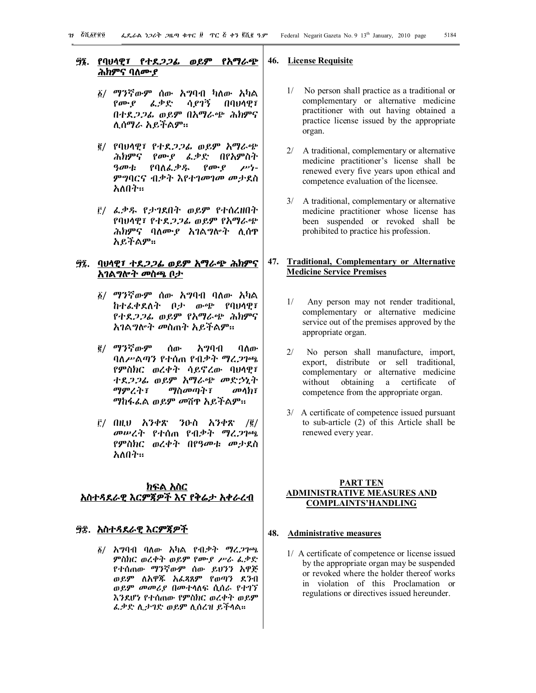## **#6. የባህላዊ፣ የተደጋጋፊ ወይም የአማራጭ**  <u>ሕክምና ባለሙያ</u>

- 1/ ማንኛውም ሰው አግባብ ካለው አካል የሙያ ፈቃድ ሳያገኝ በባህላዊ፣ በተደጋጋፊ ወይም በአማራጭ ሕክምና ሊሰማራ አይችልም፡፡
- 2/ የባህላዊ፣ የተደጋጋፊ ወይም አማራጭ *ሕክምና የሙያ ፌቃድ በየአ*ምስት<br>*ዓመቱ የ*ባለፌቃዱ *የሙያ ሥነ-*ዓመቱ የባለፈቃዱ የሙያ ምግባርና ብቃት እየተገመገመ መታደስ አለበት፡፡
- 3/ ፈቃዱ የታገደበት ወይም የተሰረዘበት የባህላዊ፣ የተደጋጋፊ ወይም የአማራጭ ሕክምና ባለሙያ አገልግሎት ሊሰጥ አይችልም፡፡

## **#7. ባህላዊ፣ ተደጋጋፊ ወይም አማራጭ ሕክምና አገልግሎት መስጫ ቦታ**

- 1/ ማንኛውም ሰው አግባብ ባለው አካል ከተፈቀደለት ቦታ ውጭ የባህላዊ፣ የተደጋጋፊ ወይም የአማራጭ ሕክምና አገልግሎት መስጠት አይችልም፡፡
- 2/ ማንኛውም ሰው አግባብ ባለው ባለሥልጣን የተሰጠ የብቃት ማረጋገጫ የምስክር ወረቀት ሳይኖረው ባህላዊ፣ ተደጋጋፊ ወይም አማራጭ መድኃኒት ማምረት፣ ማስመጣት፣ መላክ፣ ማከፋፈል ወይም መሸጥ አይችልም፡፡
- $\overline{r}$ / በዚህ አንቀጽ ንዑስ አንቀጽ / $\overline{e}$ / መሠረት የተሰጠ የብቃት ማረጋገጫ የምስክር ወረቀት በየዓመቱ መታደስ አለበት፡፡

# **ክፍል አስር አስተዳደራዊ እርምጃዎች እና የቅሬታ አቀራረብ**

#### **#8. አስተዳደራዊ እርምጃዎች**

1/ አግባብ ባለው አካል የብቃት ማረጋገጫ ምስክር ወረቀት ወይም የሙያ ሥራ ፈቃድ የተሰጠው ማንኛውም ሰው ይህንን አዋጅ ወይም ለአዋጁ አፈጻጸም የወጣን ደንብ ወይም መመሪያ በመተላለፍ ሲሰራ የተገኘ እንደሆነ የተሰጠው የምስክር ወረቀት ወይም ፈቃድ ሊታገድ ወይም ሊሰረዝ ይችላል፡፡

#### **46. License Requisite**

- 1/ No person shall practice as a traditional or complementary or alternative medicine practitioner with out having obtained a practice license issued by the appropriate organ.
- 2/ A traditional, complementary or alternative medicine practitioner's license shall be renewed every five years upon ethical and competence evaluation of the licensee.
- 3/ A traditional, complementary or alternative medicine practitioner whose license has been suspended or revoked shall be prohibited to practice his profession.

# **47. Traditional, Complementary or Alternative Medicine Service Premises**

- 1/ Any person may not render traditional, complementary or alternative medicine service out of the premises approved by the appropriate organ.
- 2/ No person shall manufacture, import, export, distribute or sell traditional, complementary or alternative medicine without obtaining a certificate of competence from the appropriate organ.
- 3/ A certificate of competence issued pursuant to sub-article (2) of this Article shall be renewed every year.

## **PART TEN ADMINISTRATIVE MEASURES AND COMPLAINTS'HANDLING**

# **48. Administrative measures**

1/ A certificate of competence or license issued by the appropriate organ may be suspended or revoked where the holder thereof works in violation of this Proclamation or regulations or directives issued hereunder.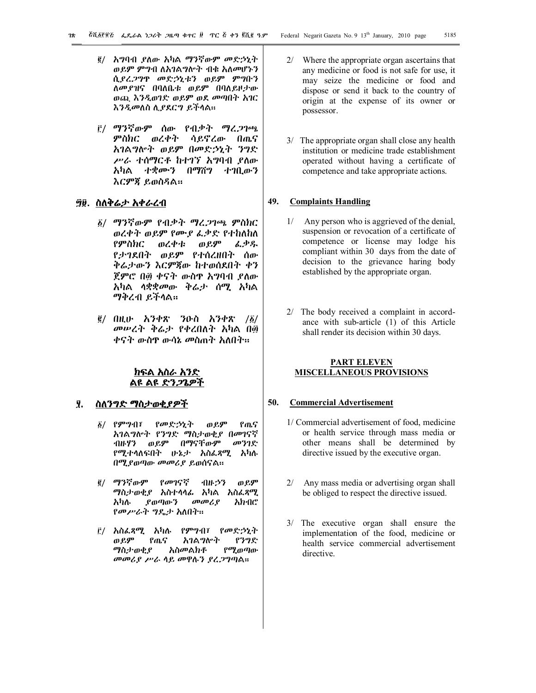- 2/ አግባብ ያለው አካል ማንኛውም መድኃኒት ወይም ምግብ ለአገልግሎት ብቁ አለመሆኑን ሲያረጋግጥ መድኃኒቱን ወይም ምግቡን ለመያዝና በባለቤቱ ወይም በባለይዞታው ወጪ እንዲወገድ ወይም ወደ መጣበት አገር እንዲመለስ ሊያደርግ ይችላል፡፡
- 3/ ማንኛውም ሰው የብቃት ማረጋገጫ ምስክር ወረቀት ሳይኖረው በጤና አገልግሎት ወይም በመድኃኒት ንግድ ሥራ ተሰማርቶ ከተገኘ አግባብ ያለው አካል ተቋሙን በማሸግ ተገቢውን እርምጃ ይወስዳል፡፡

# **#9. ስለቅሬታ አቀራረብ**

- 1/ ማንኛውም የብቃት ማረጋገጫ ምስክር ወረቀት ወይም የሙያ ፈቃድ የተከለከለ የምስክር ወረቀቱ ወይም ፈቃዱ የታገደበት ወይም የተሰረዘበት ሰው ቅሬታውን እርምጃው ከተወሰደበት ቀን ጀምሮ በ፴ ቀናት ውስዋ አግባብ ያለው አካል ላቋቋመው ቅሬታ ሰሚ አካል ማቅረብ ይችላል፡፡
- $\bar{g}$ / በዚሁ አንቀጽ ንዑስ አንቀጽ / $\bar{g}$ / መሠረት ቅሬታ የቀረበለት አካል በ፴ ቀናት ውስጥ ውሳኔ መስጠት አለበት፡፡

# **ክፍል አስራ አንድ**  ልዩ ልዩ ድን*ጋጌዎ*

## **\$. ስለንግድ ማስታወቂያዎች**

- 1/ የምግብ፣ የመድኃኒት ወይም የጤና አገልግሎት የንግድ ማስታወቂያ በመገናኛ ብዙሃን ወይም በማናቸውም መንገድ የሚተላለፍበት ሁኔታ አስፈጻሚ አካሉ በሚያወጣው መመሪያ ይወሰናል፡፡
- 2/ ማንኛውም የመገናኛ ብዙኃን ወይም ማስታወቂያ አስተላላፊ አካል አስፈጻሚ አካሉ ያወጣውን መመሪያ አክብሮ የመሥራት ግዴታ አለበት፡፡
- 3/ አስፈጻሚ አካሉ የምግብ፣ የመድኃኒት ወይም የጤና አገልግሎት የንግድ ማስታወቂያ አስመልክቶ የሚወጣው መመሪያ ሥራ ላይ መዋሉን ያረጋግጣል፡፡
- 2/ Where the appropriate organ ascertains that any medicine or food is not safe for use, it may seize the medicine or food and dispose or send it back to the country of origin at the expense of its owner or possessor.
- 3/ The appropriate organ shall close any health institution or medicine trade establishment operated without having a certificate of competence and take appropriate actions.

# **49. Complaints Handling**

- 1/ Any person who is aggrieved of the denial, suspension or revocation of a certificate of competence or license may lodge his compliant within 30 days from the date of decision to the grievance haring body established by the appropriate organ.
- 2/ The body received a complaint in accordance with sub-article (1) of this Article shall render its decision within 30 days.

## **PART ELEVEN MISCELLANEOUS PROVISIONS**

#### **50. Commercial Advertisement**

- 1/ Commercial advertisement of food, medicine or health service through mass media or other means shall be determined by directive issued by the executive organ.
- 2/ Any mass media or advertising organ shall be obliged to respect the directive issued.
- 3/ The executive organ shall ensure the implementation of the food, medicine or health service commercial advertisement directive.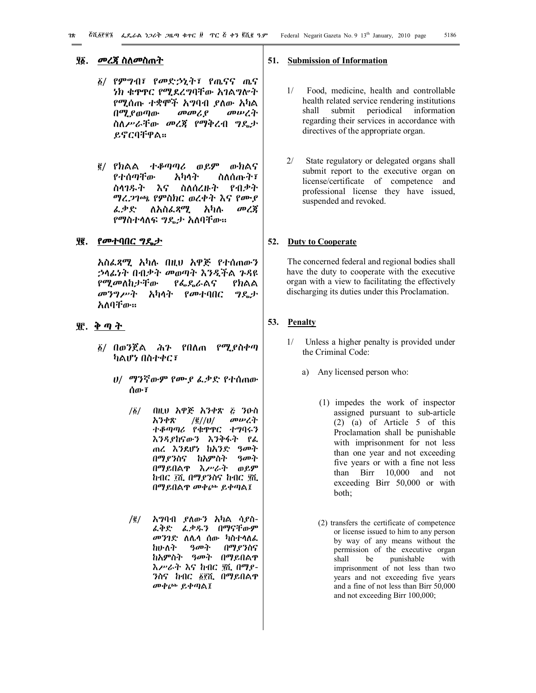## **\$1. መረጃ ስለመስጠት**

- 1/ የምግብ፣ የመድኃኒት፣ የጤናና ጤና ነክ ቁጥጥር የሚደረግባቸው አገልግሎት የሚሰጡ ተቋሞች አግባብ ያለው አካል በሚያወጣው መመሪያ መሠረት ስለሥራቸው መረጃ የማቅረብ ግዴታ ይኖርባቸዋል፡፡
- 2/ የክልል ተቆጣጣሪ ወይም ውክልና የተሰጣቸው አካላት ስለሰጡት፣ ስላገዱት እና ስለሰረዙት የብቃት ማረጋገጫ የምስክር ወረቀት እና የሙያ ፈቃድ ለአስፈጻሚ አካሉ መረጃ የማስተላለፍ ግዴታ አለባቸው፡፡

#### **\$2. የመተባበር ግዴታ**

አስፈጻሚ አካሉ በዚህ አዋጅ የተሰጠውን ኃላፊነት በብቃት መወጣት እንዲችል ጉዳዩ የሚመለከታቸው የፌዴራልና የክልል መንግሥት አካላት የመተባበር ግዴታ አለባቸው፡፡

# **\$3. ቅ ጣ ት**

- 1/ በወንጀል ሕጉ የበለጠ የሚያስቀጣ ካልሆነ በስተቀር፣
	- ሀ/ ማንኛውም የሙያ ፈቃድ የተሰጠው ሰው፣
		- /1/ በዚህ አዋጅ አንቀጽ 5 ንዑስ አንቀጽ /2//ሀ/ መሠረት ተቆጣጣሪ የቁጥጥር ተግባሩን እንዳያከናውን እንቅፋት የፈ ጠረ እንደሆነ ከአንድ *ዓመት*<br>በማደንስና ከአምስት *ዓመት* በማ*ያን*ስና ከአምስት በማይበልጥ እሥራት ወይም ከብር ፲ሺ በማያንስና ከብር ፶ሺ በማይበልጥ መቀጮ ይቀጣል፤
		- /2/ አግባብ ያለውን አካል ሳያስ-ፈቅድ ፈቃዱን በማናቸውም *መንገድ* ለሌላ ሰው ካስተላለ*ፌ*<br>ከሁለት *ዓመት* በማ*ደን*ስና ከሁለት ዓመት በማያንስና ከአምስት ዓመት በማይበልጥ እሥራት እና ከብር \$ሺ በማያ-ንስና ከብር ፩፻ሺ በማይበልዋ መቀጮ ይቀጣል፤

#### **51. Submission of Information**

- 1/ Food, medicine, health and controllable health related service rendering institutions shall submit periodical information regarding their services in accordance with directives of the appropriate organ.
- 2/ State regulatory or delegated organs shall submit report to the executive organ on license/certificate of competence and professional license they have issued, suspended and revoked.

## **52. Duty to Cooperate**

 The concerned federal and regional bodies shall have the duty to cooperate with the executive organ with a view to facilitating the effectively discharging its duties under this Proclamation.

# **53. Penalty**

- 1/ Unless a higher penalty is provided under the Criminal Code:
	- a) Any licensed person who:
		- (1) impedes the work of inspector assigned pursuant to sub-article (2) (a) of Article 5 of this Proclamation shall be punishable with imprisonment for not less than one year and not exceeding five years or with a fine not less than Birr 10,000 and not exceeding Birr 50,000 or with both;
		- (2) transfers the certificate of competence or license issued to him to any person by way of any means without the permission of the executive organ shall be punishable with imprisonment of not less than two years and not exceeding five years and a fine of not less than Birr 50,000 and not exceeding Birr 100,000;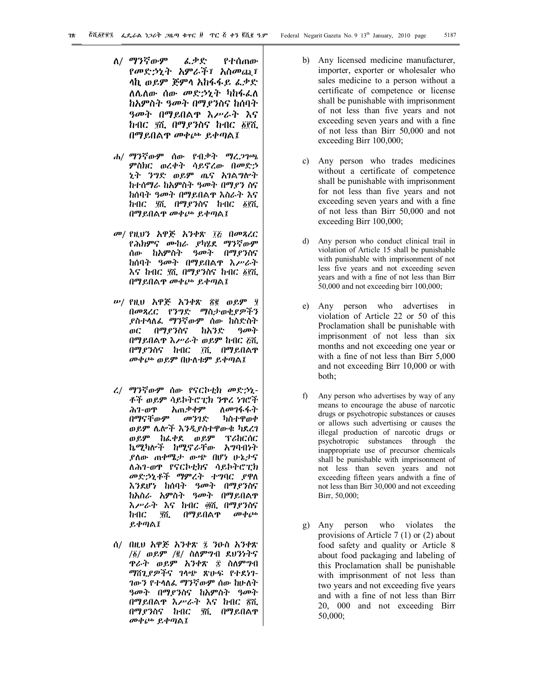- ለ/ ማንኛውም ፈቃድ የተሰጠው የመድኃኒት አምራች፣ አስመጪ፣ ላኪ ወይም ጅምላ አከፋፋይ ፈቃድ ለሌለው ሰው መድኃኒት ካከፋፈለ ከአምስት ዓመት በማያንስና ከሰባት ዓመት በማይበልጥ እሥራት እና ከብር ያሺ በማዖንስና ከብር ፩፻ሺ በማይበልጥ መቀጮ ይቀጣል፤
- ሐ/ ማንኛውም ሰው የብቃት ማረጋገጫ ምስክር ወረቀት ሳይኖረው በመድኃ ኒት ንግድ ወይም ጤና አገልግሎት ከተሰማራ ከአምስት ዓመት በማያን ስና ከሰባት ዓመት በማይበልጥ እስራት እና ከብር ያሺ በማይንስና ከብር ፩፻ሺ በማይበልጥ መቀጮ ይቀጣል፤
- መ/ የዚህን አዋጅ አንቀጽ ፲፩ በመጻረር የሕክምና ሙከራ ያካሄደ ማንኛውም ሰው ከአምስት ዓመት በማያንስና ከሰባት ዓመት በማይበልጥ እሥራት እና ከብር ያሺ በማያንስና ከብር ፩፻ሺ በማይበልጥ መቀጮ ይቀጣል፤
- ሠ/ የዚህ አዋጅ አንቀጽ !2 ወይም \$ በመጻረር የንግድ ማስታወቂያዎችን ያስተላለፈ ማንኛውም ሰው ከስድስት ወር በማያንስና ከአንድ ዓመት በማይበልጥ እሥራት ወይም ከብር 5ሺ በማያንስና ከብር ፲ሺ በማይበልዋ መቀጮ ወይም በሁለቱም ይቀጣል፤
- ረ/ ማንኛውም ሰው የናርኮቲክ መድኃኒ-ቶች ወይም ሳይኮትሮፒክ ንዋረ ነገሮች<br>ሕገ-ወዋ እጠቃቀም ለመገፋፋት *ሕገ-ወ*ዋ አጠ*ቃቀ*ም<br>በማናቸውም *መንገ*ድ በማናቸውም መንገድ ካስተዋወቀ ወይም ሌሎች እንዲያስተዋውቁ ካደረገ ወይም ከፈቀደ ወይም ፕሪከርሰር ኬሚካሎች ከሚኖራቸው አግባብነት ያለው ጠቀሜታ ውጭ በሆነ ሁኔታና ለሕገ-ወጥ የናርኮቲክና ሳይኮትሮፒክ መድኃኒቶች ማምረት ተግባር ያዋለ እንደሆነ ከሰባት ዓመት በማያንስና ከአስራ አምስት ዓመት በማይበልጥ እሥራት እና ከብር ፴ሺ በማያንስና ከብር \$ሺ በማይበልጥ መቀጮ ይቀጣል፤
- ሰ/ በዚህ አዋጅ አንቀጽ ፯ ንዑስ አንቀጽ /1/ ወይም /2/ ስለምግብ ደህንነትና ጥራት ወይም አንቀጽ 8 ስለምግብ ማሸጊያዎችና ገላጭ ጽሁፍ የተደነገ-ገውን የተላለፈ ማንኛውም ሰው ከሁለት ዓመት በማያንስና ከአምስት ዓመት በማይበልጥ እሥራት እና ከብር ፳ሺ በማያንስና ከብር \$ሺ በማይበልጥ መቀጮ ይቀጣል፤
- b) Any licensed medicine manufacturer, importer, exporter or wholesaler who sales medicine to a person without a certificate of competence or license shall be punishable with imprisonment of not less than five years and not exceeding seven years and with a fine of not less than Birr 50,000 and not exceeding Birr 100,000;
- c) Any person who trades medicines without a certificate of competence shall be punishable with imprisonment for not less than five years and not exceeding seven years and with a fine of not less than Birr 50,000 and not exceeding Birr 100,000;
- d) Any person who conduct clinical trail in violation of Article 15 shall be punishable with punishable with imprisonment of not less five years and not exceeding seven years and with a fine of not less than Birr 50,000 and not exceeding birr 100,000;
- e) Any person who advertises in violation of Article 22 or 50 of this Proclamation shall be punishable with imprisonment of not less than six months and not exceeding one year or with a fine of not less than Birr 5,000 and not exceeding Birr 10,000 or with both;
- f) Any person who advertises by way of any means to encourage the abuse of narcotic drugs or psychotropic substances or causes or allows such advertising or causes the illegal production of narcotic drugs or psychotropic substances through the inappropriate use of precursor chemicals shall be punishable with imprisonment of not less than seven years and not exceeding fifteen years andwith a fine of not less than Birr 30,000 and not exceeding Birr, 50,000;
- g) Any person who violates the provisions of Article 7 (1) or (2) about food safety and quality or Article 8 about food packaging and labeling of this Proclamation shall be punishable with imprisonment of not less than two years and not exceeding five years and with a fine of not less than Birr 20, 000 and not exceeding Birr 50,000;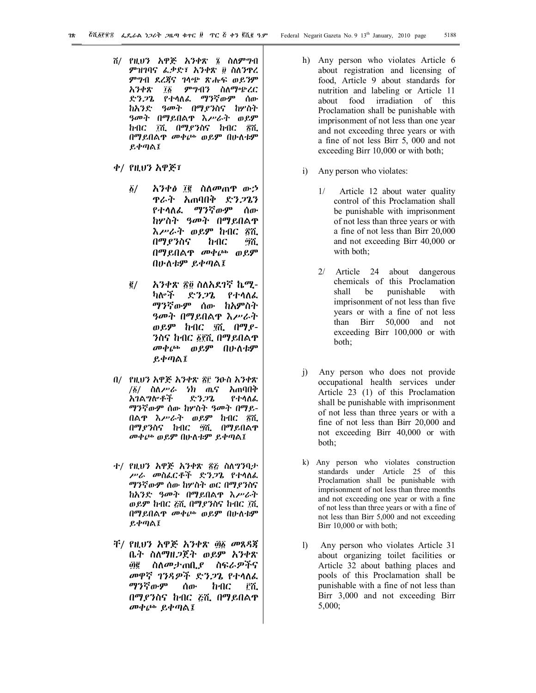- ሸ/ የዚህን አዋጅ አንቀጽ ፮ ስለምግብ ምዝገባና ፌቃድ፣ አንቀጽ ፱ ስለንዋረ ምግብ ደረጃና ገላጭ ጽሑፍ ወይንም አንቀጽ ፲፩ ምግብን ስለማጭረር ድንጋጌ የተላለፈ ማንኛውም ሰው ከአንድ ዓመት በማያንስና ከሦስት ዓመት በማይበልጥ እሥራት ወይም ከብር 7ሺ በማያንስና ከብር ፳ሺ በማይበልጥ መቀጮ ወይም በሁለቱም ይቀጣል፤
- ቀ/ የዚህን አዋጅ፣
	- *δ/ አንቀፅ ፲*፪ ስለመጠዋ ውኃ ጥራት አጠባበቅ ድንጋጌን የተላለፈ ማንኛውም ሰው ከሦስት ዓመት በማይበልጥ እሥራት ወይም ከብር ፳ሺ በማያንስና ከብር #ሺ በማይበልጥ መቀጮ ወይም በሁለቱም ይቀጣል፤
	- ፪/ አንቀጽ ፳፬ ስለአደገኛ ኬሚ-ካሎች ድንጋጌ የተላለፈ ማንኛውም ሰው ከአምስት ዓመት በማይበልጥ እሥራት ወይም ከብር ፶ሺ በማያ-ንስና ከብር ፩፻ሺ በማይበልዋ መቀጮ ወይም በሁለቱም ይቀጣል፤
- በ/ የዚህን አዋጅ አንቀጽ ፳፫ ንዑስ አንቀጽ /፩/ ስለ*ሥራ ነክ* ጤና አጠባበቅ<br>አገልግሎቶች ድን*ጋ*ጌ የተላለፈ አገልግሎቶች ማንኛውም ሰው ከሦስት ዓመት በማይ-በልዋ እሥራት ወይም ከብር ፳ሺ በማያንስና ከብር #ሺ በማይበልጥ መቀጮ ወይም በሁለቱም ይቀጣል፤
- ተ/ የዚህን አዋጅ አንቀጽ ፳፩ ስለግንባታ ሥራ መስፈርቶች ድንጋጌ የተላለፈ ማንኛውም ሰው ከሦስት ወር በማያንስና ከአንድ ዓመት በማይበልጥ እሥራት ወይም ከብር ፩ሺ በማያንስና ከብር ፲ሺ በማይበልጥ መቀጮ ወይም በሁለቱም ይቀጣል፤
- ቸ/ የዚህን አዋጅ አንቀጽ ፴፩ መጸዳጃ ቤት ስለማዘጋጀት ወይም አንቀጽ *፴፪* ስለመታጠቢ*ያ* ስፍራዎችና መዋኛ ገንዳዎች ድንጋጌ የተላለፈ ማንኛውም ሰው ከብር ፫ሺ በማያንስና ከብር 5ሺ በማይበልጥ መቀጮ ይቀጣል፤
- h) Any person who violates Article 6 about registration and licensing of food, Article 9 about standards for nutrition and labeling or Article 11 about food irradiation of this Proclamation shall be punishable with imprisonment of not less than one year and not exceeding three years or with a fine of not less Birr 5, 000 and not exceeding Birr 10,000 or with both;
- i) Any person who violates:
	- 1/ Article 12 about water quality control of this Proclamation shall be punishable with imprisonment of not less than three years or with a fine of not less than Birr 20,000 and not exceeding Birr 40,000 or with both;
	- 2/ Article 24 about dangerous chemicals of this Proclamation shall be punishable with imprisonment of not less than five years or with a fine of not less than Birr 50,000 and not exceeding Birr 100,000 or with both;
- j) Any person who does not provide occupational health services under Article 23 (1) of this Proclamation shall be punishable with imprisonment of not less than three years or with a fine of not less than Birr 20,000 and not exceeding Birr 40,000 or with both;
- k) Any person who violates construction standards under Article 25 of this Proclamation shall be punishable with imprisonment of not less than three months and not exceeding one year or with a fine of not less than three years or with a fine of not less than Birr 5,000 and not exceeding Birr 10,000 or with both;
- l) Any person who violates Article 31 about organizing toilet facilities or Article 32 about bathing places and pools of this Proclamation shall be punishable with a fine of not less than Birr 3,000 and not exceeding Birr 5,000;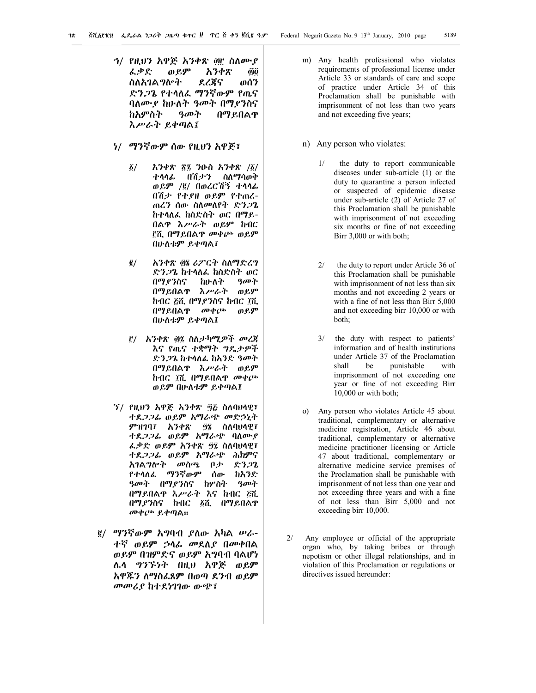- *ኅ*/ የዚህን አዋጅ አንቀጽ ፴፫ ስለሙ*ያ* ፌቃድ ወይም አንቀጽ ፴፬ ስለአገልግሎት ደረጃና ወሰን ድንጋጌ የተላለፈ ማንኛውም የጤና ባለሙያ ከሁለት ዓመት በማያንስና ከአምስት ዓመት በማይበልጥ እሥራት ይቀጣል፤
- ነ/ ማንኛውም ሰው የዚህን አዋጅ፣
	- $\tilde{g}/$  አንቀጽ ፳፯ ንዑስ አንቀጽ / $\tilde{g}/$ ተላላፊ በሽታን ስለማሳወቅ ወይም /2/ በወረርሽኝ ተላላፊ በሽታ የተያዘ ወይም የተጠረ-ጠረን ሰው ስለመለየት ድንጋጌ ከተላለፈ ከስድስት ወር በማይ-በልጥ እሥራት ወይም ከብር 3ሺ በማይበልጥ መቀጮ ወይም በሁለቱም ይቀጣል፣
	- <u>፪/ አንቀጽ ፴፮ ሪፖርት ስለማድረግ</u> ድንጋጌ ከተላለፈ ከስድስት ወር በማያንስና ከሁለት ዓመት በማይበልጥ እሥራት ወይም ከብር ሯሺ በማያንስና ከብር ፲ሺ በማይበልጥ መቀጮ ወይም በሁለቱም ይቀጣል፤
	- <u>፫/ አንቀጽ ፴፯ ስለታካሚዎች መረጃ</u> እና የጤና ተቋማት ግዴታዎች ድንጋጌ ከተላለፈ ከአንድ ዓመት በማይበልጥ እሥራት ወይም ከብር ፲ሺ በማይበልዋ መቀጮ ወይም በሁለቱም ይቀጣል፤
- ኘ/ የዚህን አዋጅ አንቀጽ ፵፩ ስለባህላዊ፣ ተደጋጋፊ ወይም አማራጭ መድኃኒት ምዝገባ፣ አንቀጽ ፵፮ ስለባህላዊ፣ ተደጋጋፊ ወይም አማራጭ ባለሙያ ፌቃድ ወይም አንቀጽ ፵፯ ስለባህላዊ፣ ተደጋጋፊ ወይም አማራጭ ሕክምና አገልግሎት መስጫ ቦታ ድንጋጌ የተላለፈ ማንኛውም ሰው ከአንድ ዓመት በማያንስና ከሦስት ዓመት በማይበልጥ እሥራት እና ከብር 5ሺ በማያንስና ከብር ፩ሺ በማይበልዋ መቀጮ ይቀጣል፡፡
- 2/ ማንኛውም አግባብ ያለው አካል ሠራ-ተኛ ወይም ኃላፊ መደለያ በመቀበል ወይም በዝምድና ወይም አግባብ ባልሆነ ሌላ ግንኙነት በዚህ አዋጅ ወይም አዋጁን ለማስፈጸም በወጣ ደንብ ወይም መመሪያ ከተደነገገው ውጭ፣
- m) Any health professional who violates requirements of professional license under Article 33 or standards of care and scope of practice under Article 34 of this Proclamation shall be punishable with imprisonment of not less than two years and not exceeding five years;
- n) Any person who violates:
	- 1/ the duty to report communicable diseases under sub-article (1) or the duty to quarantine a person infected or suspected of epidemic disease under sub-article (2) of Article 27 of this Proclamation shall be punishable with imprisonment of not exceeding six months or fine of not exceeding Birr 3,000 or with both;
	- 2/ the duty to report under Article 36 of this Proclamation shall be punishable with imprisonment of not less than six months and not exceeding 2 years or with a fine of not less than Birr 5,000 and not exceeding birr 10,000 or with both;
	- 3/ the duty with respect to patients' information and of health institutions under Article 37 of the Proclamation<br>shall be punishable with punishable imprisonment of not exceeding one year or fine of not exceeding Birr 10,000 or with both;
- Any person who violates Article 45 about traditional, complementary or alternative medicine registration, Article 46 about traditional, complementary or alternative medicine practitioner licensing or Article 47 about traditional, complementary or alternative medicine service premises of the Proclamation shall be punishable with imprisonment of not less than one year and not exceeding three years and with a fine of not less than Birr 5,000 and not exceeding birr 10,000.
- 2/ Any employee or official of the appropriate organ who, by taking bribes or through nepotism or other illegal relationships, and in violation of this Proclamation or regulations or directives issued hereunder: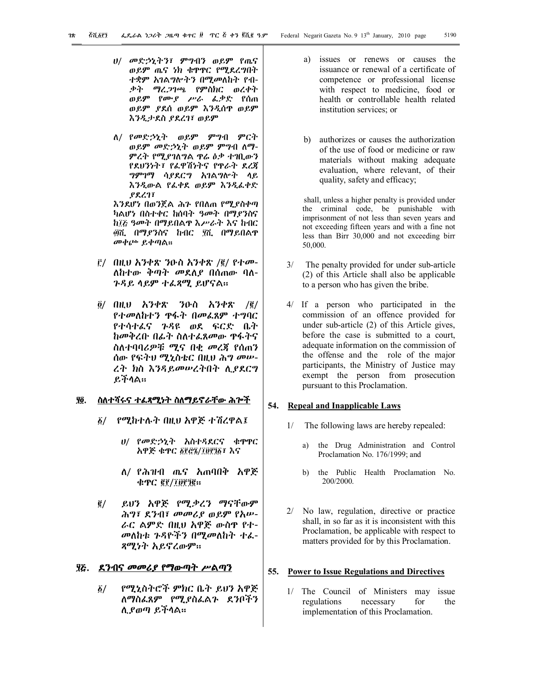- ሀ/ መድኃኒትን፣ ምግብን ወይም የጤና ወይም ጤና ነክ ቁጥጥር የሚደረግበት ተቋም አገልግሎትን በሚመለከት የብ-ቃት ማረጋገጫ የምስክር ወረቀት ወይም የሙያ ሥራ ፈቃድ የሰጠ ወይም ያደሰ ወይም እንዲሰጥ ወይም እንዲታደስ ያደረገ፣ ወይም
- ለ/ የመድኃኒት ወይም ምግብ ምርት ወይም መድኃኒት ወይም ምግብ ለማ-ምረት የሚያገለግል ጥሬ ዕቃ ተገቢውን የደህንነት፣ የፈዋሽነትና የጥራት ደረጃ ግምገማ ሳያደርግ አገልግሎት ላይ እንዲውል የፈቀደ ወይም እንዲፈቀድ ያደረገ፣

እንደሆነ በወንጀል ሕጉ የበለጠ የሚያስቀጣ ካልሆነ በስተቀር ከሰባት ዓመት በማያንስና ከ፲፩ ዓመት በማይበልዋ እሥራት እና ከብር "ሺ በማያንስና ከብር \$ሺ በማይበልጥ መቀጮ ይቀጣል፡፡

- 3/ በዚህ አንቀጽ ንዑስ አንቀጽ /2/ የተመ-ለከተው ቅጣት መደለያ በሰጠው ባለ-ጉዳይ ላይም ተፈጻሚ ይሆናል፡፡
- $\delta$ / በዚህ አንቀጽ ንዑስ አንቀጽ / $\bar{e}$ / የተመለከተን ጥፋት በመፈጸም ተግባር የተሳተፈና ጉዳዩ ወደ ፍርድ ቤት ከመቅረቡ በፊት ስለተፈጸመው ጥፋትና ስለተባባሪዎቹ ሚና በቂ መረጃ የሰጠን ሰው የፍትህ ሚኒስቴር በዚህ ሕግ መሠ-ረት ክስ እንዳይመሠረትበት ሊያደርግ ይችላል፡፡

#### **\$4. ስለተሻሩና ተፈጻሚነት ስለማይኖራቸው ሕጐች**

- 1/ የሚከተሉት በዚህ አዋጅ ተሽረዋል፤
	- ሀ/ የመድኃኒት አስተዳደርና ቁጥጥር አዋጅ ቁጥር ፩፻፸፮/፲፱፻፺፩፣ እና
	- ለ/ የሕዝብ ጤና አጠባበቅ አዋጅ ቁጥር *፪፻/፲፱፻፺*፪፡፡
- 2/ ይህን አዋጅ የሚቃረን ማናቸውም ሕግ፣ ደንብ፣ መመሪያ ወይም የአሠ-ራር ልምድ በዚህ አዋጅ ውስጥ የተ-መለከቱ ጉዳዮችን በሚመለከት ተፈ-ጻሚነት አይኖረውም፡፡

## **\$5. ደንብና መመሪያ የማውጣት ሥልጣን**

1/ የሚኒስትሮች ምክር ቤት ይህን አዋጅ ለማስፈጸም የሚያስፈልጉ ደንቦችን ሊያወጣ ይችላል፡፡

- a) issues or renews or causes the issuance or renewal of a certificate of competence or professional license with respect to medicine, food or health or controllable health related institution services; or
- b) authorizes or causes the authorization of the use of food or medicine or raw materials without making adequate evaluation, where relevant, of their quality, safety and efficacy;

 shall, unless a higher penalty is provided under the criminal code, be punishable with imprisonment of not less than seven years and not exceeding fifteen years and with a fine not less than Birr 30,000 and not exceeding birr 50,000.

- 3/ The penalty provided for under sub-article (2) of this Article shall also be applicable to a person who has given the bribe.
- 4/ If a person who participated in the commission of an offence provided for under sub-article (2) of this Article gives, before the case is submitted to a court, adequate information on the commission of the offense and the role of the major participants, the Ministry of Justice may exempt the person from prosecution pursuant to this Proclamation.

# **54. Repeal and Inapplicable Laws**

- 1/ The following laws are hereby repealed:
	- a) the Drug Administration and Control Proclamation No. 176/1999; and
	- b) the Public Health Proclamation No. 200/2000.
- 2/ No law, regulation, directive or practice shall, in so far as it is inconsistent with this Proclamation, be applicable with respect to matters provided for by this Proclamation.

## **55. Power to Issue Regulations and Directives**

1/ The Council of Ministers may issue regulations necessary for the implementation of this Proclamation.